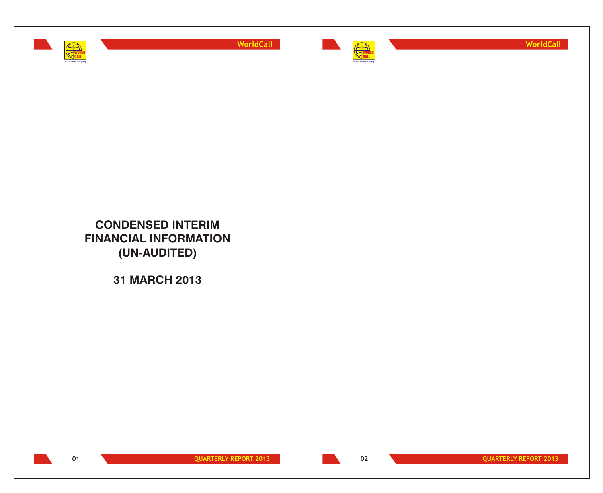



**WorldCall**

## **CONDENSED INTERIM FINANCIAL INFORMATION (UN-AUDITED)**

**31 MARCH 2013**

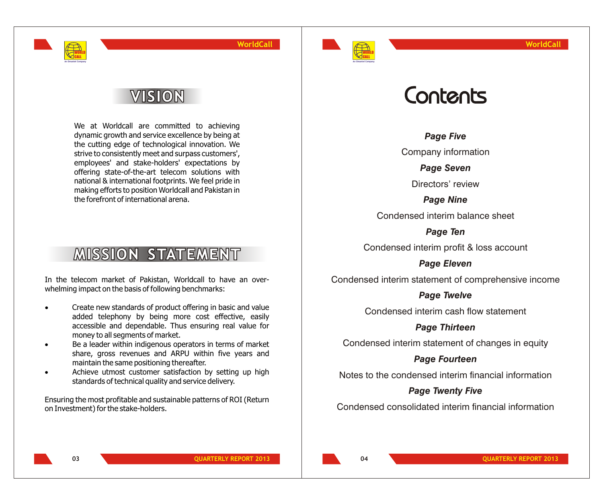

## VISION

WORLD CALL **An Omantel Company**

> We at Worldcall are committed to achieving dynamic growth and service excellence by being at the cutting edge of technological innovation. We strive to consistently meet and surpass customers', employees' and stake-holders' expectations by offering state-of-the-art telecom solutions with national & international footprints. We feel pride in making efforts to position Worldcall and Pakistan in the forefront of international arena.

## **MISSION STATEMENT**

In the telecom market of Pakistan, Worldcall to have an overwhelming impact on the basis of following benchmarks:

- Create new standards of product offering in basic and value added telephony by being more cost effective, easily accessible and dependable. Thus ensuring real value for money to all segments of market.
- Be a leader within indigenous operators in terms of market share, gross revenues and ARPU within five years and maintain the same positioning thereafter.
- Achieve utmost customer satisfaction by setting up high standards of technical quality and service delivery.

Ensuring the most profitable and sustainable patterns of ROI (Return on Investment) for the stake-holders.

# Contents

*Page Five*

Company information

*Page Seven*

Directors' review

*Page Nine* Condensed interim balance sheet

*Page Ten*

Condensed interim profit & loss account

*Page Eleven*

Condensed interim statement of comprehensive income

## *Page Twelve*

Condensed interim cash flow statement

*Page Thirteen*

Condensed interim statement of changes in equity

*Page Fourteen*

Notes to the condensed interim financial information

## *Page Twenty Five*

Condensed consolidated interim financial information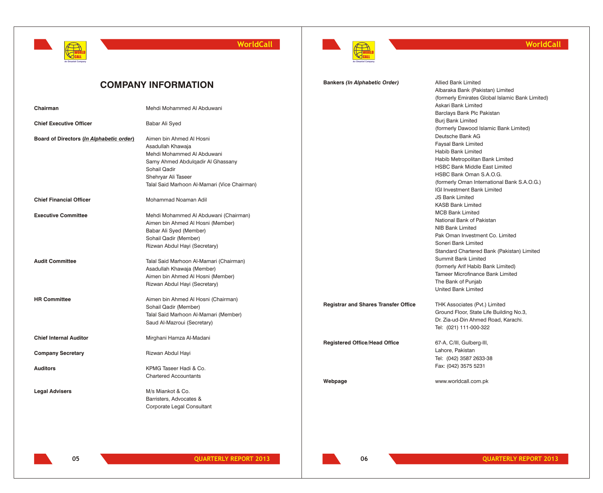



## **WorldCall**

| <b>COMPANY INFORMATION</b>               |                                              | <b>Bankers (In Alphabetic Order)</b>        | Allied Bank Limited                             |
|------------------------------------------|----------------------------------------------|---------------------------------------------|-------------------------------------------------|
|                                          |                                              |                                             | Albaraka Bank (Pakistan) Limited                |
|                                          |                                              |                                             | (formerly Emirates Global Islamic Bank Limited) |
| Chairman                                 | Mehdi Mohammed Al Abduwani                   |                                             | Askari Bank Limited                             |
|                                          |                                              |                                             | Barclays Bank Plc Pakistan                      |
| <b>Chief Executive Officer</b>           | Babar Ali Syed                               |                                             | Burj Bank Limited                               |
|                                          |                                              |                                             | (formerly Dawood Islamic Bank Limited)          |
| Board of Directors (In Alphabetic order) | Aimen bin Ahmed Al Hosni                     |                                             | Deutsche Bank AG                                |
|                                          | Asadullah Khawaja                            |                                             | Faysal Bank Limited                             |
|                                          | Mehdi Mohammed Al Abduwani                   |                                             | Habib Bank Limited                              |
|                                          | Samy Ahmed Abdulgadir Al Ghassany            |                                             | Habib Metropolitan Bank Limited                 |
|                                          | Sohail Qadir                                 |                                             | <b>HSBC Bank Middle East Limited</b>            |
|                                          | Shehryar Ali Taseer                          |                                             | HSBC Bank Oman S.A.O.G.                         |
|                                          | Talal Said Marhoon Al-Mamari (Vice Chairman) |                                             | (formerly Oman International Bank S.A.O.G.)     |
|                                          |                                              |                                             | IGI Investment Bank Limited                     |
| <b>Chief Financial Officer</b>           | Mohammad Noaman Adil                         |                                             | <b>JS Bank Limited</b>                          |
|                                          |                                              |                                             | <b>KASB Bank Limited</b>                        |
| <b>Executive Committee</b>               | Mehdi Mohammed Al Abduwani (Chairman)        |                                             | <b>MCB Bank Limited</b>                         |
|                                          | Aimen bin Ahmed Al Hosni (Member)            |                                             | National Bank of Pakistan                       |
|                                          | Babar Ali Syed (Member)                      |                                             | NIB Bank Limited                                |
|                                          | Sohail Qadir (Member)                        |                                             | Pak Oman Investment Co. Limited                 |
|                                          | Rizwan Abdul Hayi (Secretary)                |                                             | Soneri Bank Limited                             |
|                                          |                                              |                                             | Standard Chartered Bank (Pakistan) Limited      |
| <b>Audit Committee</b>                   | Talal Said Marhoon Al-Mamari (Chairman)      |                                             | Summit Bank Limited                             |
|                                          | Asadullah Khawaja (Member)                   |                                             | (formerly Arif Habib Bank Limited)              |
|                                          | Aimen bin Ahmed Al Hosni (Member)            |                                             | Tameer Microfinance Bank Limited                |
|                                          | Rizwan Abdul Hayi (Secretary)                |                                             | The Bank of Punjab                              |
|                                          |                                              |                                             | <b>United Bank Limited</b>                      |
| <b>HR Committee</b>                      | Aimen bin Ahmed Al Hosni (Chairman)          |                                             |                                                 |
|                                          | Sohail Qadir (Member)                        | <b>Registrar and Shares Transfer Office</b> | THK Associates (Pvt.) Limited                   |
|                                          | Talal Said Marhoon Al-Mamari (Member)        |                                             | Ground Floor, State Life Building No.3,         |
|                                          | Saud Al-Mazroui (Secretary)                  |                                             | Dr. Zia-ud-Din Ahmed Road, Karachi.             |
|                                          |                                              |                                             | Tel: (021) 111-000-322                          |
| <b>Chief Internal Auditor</b>            | Mirghani Hamza Al-Madani                     |                                             |                                                 |
|                                          |                                              | <b>Registered Office/Head Office</b>        | 67-A, C/III, Gulberg-III,                       |
| <b>Company Secretary</b>                 | Rizwan Abdul Hayi                            |                                             | Lahore, Pakistan                                |
|                                          |                                              |                                             | Tel: (042) 3587 2633-38                         |
| <b>Auditors</b>                          | KPMG Taseer Hadi & Co.                       |                                             | Fax: (042) 3575 5231                            |
|                                          | <b>Chartered Accountants</b>                 |                                             |                                                 |
|                                          |                                              | Webpage                                     | www.worldcall.com.pk                            |
| <b>Legal Advisers</b>                    | M/s Miankot & Co.                            |                                             |                                                 |
|                                          | Barristers, Advocates &                      |                                             |                                                 |
|                                          | Corporate Legal Consultant                   |                                             |                                                 |
|                                          |                                              |                                             |                                                 |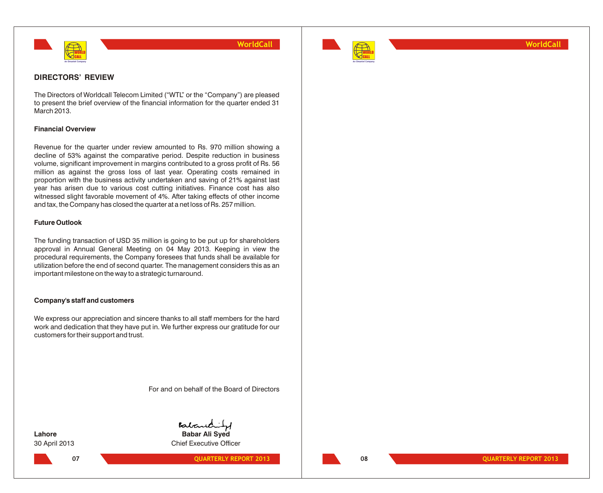



### **WorldCall**

### **DIRECTORS' REVIEW**

The Directors of Worldcall Telecom Limited ("WTL" or the "Company") are pleased to present the brief overview of the financial information for the quarter ended 31 March 2013.

### **Financial Overview**

Revenue for the quarter under review amounted to Rs. 970 million showing a decline of 53% against the comparative period. Despite reduction in business volume, significant improvement in margins contributed to a gross profit of Rs. 56 million as against the gross loss of last year. Operating costs remained in proportion with the business activity undertaken and saving of 21% against last year has arisen due to various cost cutting initiatives. Finance cost has also witnessed slight favorable movement of 4%. After taking effects of other income and tax, the Company has closed the quarter at a net loss of Rs. 257 million.

### **Future Outlook**

The funding transaction of USD 35 million is going to be put up for shareholders approval in Annual General Meeting on 04 May 2013. Keeping in view the procedural requirements, the Company foresees that funds shall be available for utilization before the end of second quarter. The management considers this as an important milestone on the way to a strategic turnaround.

### **Company's staff and customers**

We express our appreciation and sincere thanks to all staff members for the hard work and dedication that they have put in. We further express our gratitude for our customers for their support and trust.

For and on behalf of the Board of Directors

Bataric **Lahore Babar Ali Syed**

30 April 2013 Chief Executive Officer

**O7 QUARTERLY REPORT 2013** 

**OB QUARTERLY REPORT 2013**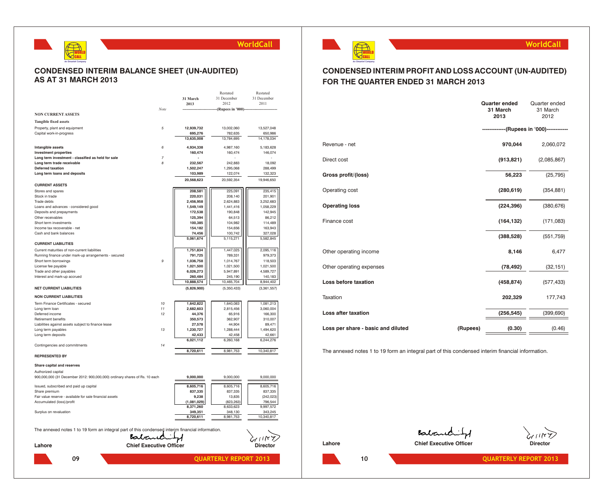

## **CONDENSED INTERIM BALANCE SHEET (UN-AUDITED) AS AT 31 MARCH 2013**

|                                                                                                  |                                |                        | Restated                     | Restated               |
|--------------------------------------------------------------------------------------------------|--------------------------------|------------------------|------------------------------|------------------------|
|                                                                                                  |                                | 31 March<br>2013       | 31 December<br>2012          | 31 December<br>2011    |
|                                                                                                  | Note                           |                        | (Rupees in '000)-            |                        |
| <b>NON CURRENT ASSETS</b>                                                                        |                                |                        |                              |                        |
| <b>Tangible fixed assets</b>                                                                     |                                |                        |                              |                        |
| Property, plant and equipment                                                                    | 5                              | 12,939,732             | 13,002,060                   | 13,527,048             |
| Capital work-in-progress                                                                         |                                | 695,276<br>13,635,008  | 782,635<br>13,784,695        | 650,986<br>14,178,034  |
|                                                                                                  |                                |                        |                              |                        |
| Intangible assets<br><b>Investment properties</b>                                                | 6                              | 4,934,338              | 4,987,160                    | 5,183,628              |
| Long term investment - classified as held for sale                                               | $\overline{7}$                 | 160,474                | 160,474                      | 146,074                |
| Long term trade receivable                                                                       | $\boldsymbol{\mathcal{S}}$     | 232,567                | 242,883                      | 18.092                 |
| <b>Deferred taxation</b>                                                                         |                                | 1,502,247              | 1,295,068                    | 288,499                |
| Long term loans and deposits                                                                     |                                | 103,989                | 122,074                      | 132,323                |
| <b>CURRENT ASSETS</b>                                                                            |                                | 20,568,623             | 20,592,354                   | 19,946,650             |
| Stores and spares                                                                                |                                | 208,581                | 225,091                      | 235,415                |
| Stock in trade                                                                                   |                                | 220,031                | 208,140                      | 201,901                |
| Trade debts                                                                                      |                                | 2,456,958              | 2,624,883                    | 3,252,683              |
| Loans and advances - considered good                                                             |                                | 1,549,149              | 1,441,416                    | 1,058,229              |
| Deposits and prepayments                                                                         |                                | 172,538                | 190,848                      | 142.945                |
| Other receivables                                                                                |                                | 125,394                | 64,513                       | 86,212                 |
| Short term investments<br>Income tax recoverable - net                                           |                                | 100,385<br>154,182     | 104,982<br>154,656           | 114,489<br>163,943     |
| Cash and bank balances                                                                           |                                | 74,456                 | 100,742                      | 327,028                |
|                                                                                                  |                                | 5,061,674              | 5,115,271                    | 5,582,845              |
| <b>CURRENT LIABILITIES</b>                                                                       |                                |                        |                              |                        |
| Current maturities of non-current liabilities                                                    |                                | 1,751,834              | 1,447,025                    | 2,095,116              |
| Running finance under mark-up arrangements - secured                                             |                                | 791,725                | 789,331                      | 979,373                |
| Short term borrowings                                                                            | 9                              | 1,036,758              | 1,014,767                    | 118,503                |
| License fee payable<br>Trade and other payables                                                  |                                | 1,021,500<br>6,026,273 | 1,021,500<br>5,947,891       | 1,021,500<br>4,589,727 |
| Interest and mark-up accrued                                                                     |                                | 260,484                | 245,190                      | 140,183                |
|                                                                                                  |                                | 10,888,574             | 10,465,704                   | 8,944,402              |
| <b>NET CURRENT LIABILITIES</b>                                                                   |                                | (5,826,900)            | (5,350,433)                  | (3,361,557)            |
| <b>NON CURRENT LIABILITIES</b>                                                                   |                                |                        |                              |                        |
| Term Finance Certificates - secured                                                              | 10                             | 1,642,822              | 1.640.083                    | 1.081.213              |
| Long term loan                                                                                   | 11                             | 2,682,603              | 2.815.456                    | 3,060,004              |
| Deferred income                                                                                  | 12                             | 44,376                 | 65,916                       | 166,300                |
| Retirement benefits                                                                              |                                | 350,573                | 362,907                      | 310,007                |
| Liabilities against assets subject to finance lease                                              |                                | 27,578                 | 44,904                       | 89,471                 |
| Long term payables                                                                               | 13                             | 1,230,727              | 1,288,444<br>42,458          | 1,494,620<br>42,661    |
| Long term deposits                                                                               |                                | 42,433<br>6,021,112    | 6,260,168                    | 6,244,276              |
| Contingencies and commitments                                                                    | 14                             |                        |                              |                        |
|                                                                                                  |                                | 8,720,611              | 8,981,753                    | 10,340,817             |
| <b>REPRESENTED BY</b>                                                                            |                                |                        |                              |                        |
| Share capital and reserves                                                                       |                                |                        |                              |                        |
| Authorized capital                                                                               |                                |                        |                              |                        |
| 900,000,000 (31 December 2012: 900,000,000) ordinary shares of Rs. 10 each                       |                                | 9,000,000              | 9.000.000                    | 9,000,000              |
| Issued, subscribed and paid up capital                                                           |                                | 8,605,716              | 8,605,716                    | 8,605,716              |
| Share premium                                                                                    |                                | 837,335                | 837,335                      | 837,335                |
| Fair value reserve - available for sale financial assets<br>Accumulated (loss)/profit            |                                | 9,238<br>(1,081,029)   | 13,835<br>(823, 263)         | (242, 023)<br>796,544  |
|                                                                                                  |                                | 8,371,260              | 8,633,623                    | 9,997,572              |
| Surplus on revaluation                                                                           |                                | 349,351                | 348,130                      | 343,245                |
|                                                                                                  |                                | 8,720,611              | 8,981,753                    | 10,340,817             |
|                                                                                                  |                                |                        |                              |                        |
| The annexed notes 1 to 19 form an integral part of this condensed interim financial information. |                                |                        |                              |                        |
|                                                                                                  | Baband                         |                        |                              |                        |
| Lahore                                                                                           | <b>Chief Executive Officer</b> |                        |                              | <b>Director</b>        |
|                                                                                                  |                                |                        |                              |                        |
| 09                                                                                               |                                |                        | <b>QUARTERLY REPORT 2013</b> |                        |
|                                                                                                  |                                |                        |                              |                        |



### **WorldCall**

## **CONDENSED INTERIM PROFIT AND LOSS ACCOUNT (UN-AUDITED) FOR THE QUARTER ENDED 31 MARCH 2013**

|                                    |          | Quarter ended<br>31 March<br>2013 | Quarter ended<br>31 March<br>2012        |
|------------------------------------|----------|-----------------------------------|------------------------------------------|
|                                    |          |                                   | -----------(Rupees in '000)------------- |
| Revenue - net                      |          | 970,044                           | 2,060,072                                |
| Direct cost                        |          | (913, 821)                        | (2,085,867)                              |
| Gross profit/(loss)                |          | 56,223                            | (25, 795)                                |
| Operating cost                     |          | (280, 619)                        | (354, 881)                               |
| <b>Operating loss</b>              |          | (224, 396)                        | (380, 676)                               |
| Finance cost                       |          | (164, 132)                        | (171,083)                                |
|                                    |          | (388, 528)                        | (551, 759)                               |
| Other operating income             |          | 8,146                             | 6,477                                    |
| Other operating expenses           |          | (78, 492)                         | (32, 151)                                |
| Loss before taxation               |          | (458, 874)                        | (577, 433)                               |
| Taxation                           |          | 202,329                           | 177,743                                  |
| Loss after taxation                |          | (256, 545)                        | (399, 690)                               |
| Loss per share - basic and diluted | (Rupees) | (0.30)                            | (0.46)                                   |

The annexed notes 1 to 19 form an integral part of this condensed interim financial information.

Batantiff

**Lahore Chief Executive Officer Chief Executive Officer Director** 

**10 QUARTERLY REPORT 2013**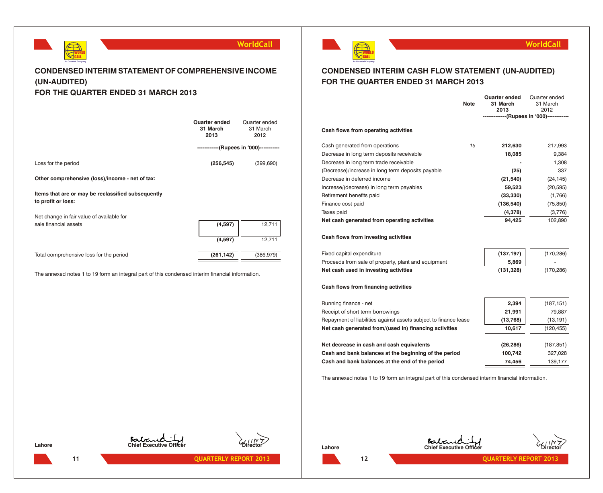

## **CONDENSED INTERIM STATEMENT OF COMPREHENSIVE INCOME (UN-AUDITED) FOR THE QUARTER ENDED 31 MARCH 2013**

|                                                                          | Quarter ended<br>31 March<br>2013       | Quarter ended<br>31 March<br>2012 |
|--------------------------------------------------------------------------|-----------------------------------------|-----------------------------------|
|                                                                          | ------------(Rupees in '000)----------- |                                   |
| Loss for the period                                                      | (256, 545)                              | (399, 690)                        |
| Other comprehensive (loss)/income - net of tax:                          |                                         |                                   |
| Items that are or may be reclassified subsequently<br>to profit or loss: |                                         |                                   |
| Net change in fair value of available for                                |                                         |                                   |
| sale financial assets                                                    | (4,597)                                 | 12,711                            |
|                                                                          | (4,597)                                 | 12,711                            |
| Total comprehensive loss for the period                                  | (261, 142)                              | (386,979)                         |

The annexed notes 1 to 19 form an integral part of this condensed interim financial information.



## **CONDENSED INTERIM CASH FLOW STATEMENT (UN-AUDITED) FOR THE QUARTER ENDED 31 MARCH 2013**

**Quarter ended** Quarter ended

**WorldCall**

|                                                                  | <b>Note</b> | Quarter ended<br>31 March<br>2013 | Quarter eriged<br>31 March<br>2012        |
|------------------------------------------------------------------|-------------|-----------------------------------|-------------------------------------------|
|                                                                  |             |                                   | -------------(Rupees in '000)------------ |
| Cash flows from operating activities                             |             |                                   |                                           |
| Cash generated from operations                                   | 15          | 212,630                           | 217,993                                   |
| Decrease in long term deposits receivable                        |             | 18,085                            | 9,384                                     |
| Decrease in long term trade receivable                           |             |                                   | 1,308                                     |
| (Decrease)/increase in long term deposits payable                |             | (25)                              | 337                                       |
| Decrease in deferred income                                      |             | (21, 540)                         | (24, 145)                                 |
| Increase/(decrease) in long term payables                        |             | 59,523                            | (20, 595)                                 |
| Retirement benefits paid                                         |             | (33, 330)                         | (1,766)                                   |
| Finance cost paid                                                |             | (136, 540)                        | (75, 850)                                 |
| Taxes paid                                                       |             | (4,378)                           | (3,776)                                   |
| Net cash generated from operating activities                     |             | 94,425                            | 102,890                                   |
| Cash flows from investing activities                             |             |                                   |                                           |
| Fixed capital expenditure                                        |             | (137, 197)                        | (170, 286)                                |
| Proceeds from sale of property, plant and equipment              |             | 5,869                             |                                           |
| Net cash used in investing activities                            |             | (131, 328)                        | (170, 286)                                |
| Cash flows from financing activities                             |             |                                   |                                           |
| Running finance - net                                            |             | 2,394                             | (187, 151)                                |
| Receipt of short term borrowings                                 |             | 21,991                            | 79,887                                    |
| Repayment of liabilities against assets subject to finance lease |             | (13,768)                          | (13, 191)                                 |
| Net cash generated from/(used in) financing activities           |             | 10,617                            | (120, 455)                                |
| Net decrease in cash and cash equivalents                        |             | (26, 286)                         | (187, 851)                                |
| Cash and bank balances at the beginning of the period            |             | 100,742                           | 327,028                                   |

The annexed notes 1 to 19 form an integral part of this condensed interim financial information.

**Cash and bank balances at the end of the period <b>74,456 1**39,177



**Lahore Chief Executive Officer Director**



**11 QUARTERLY REPORT 2013**





**12 QUARTERLY REPORT 2013**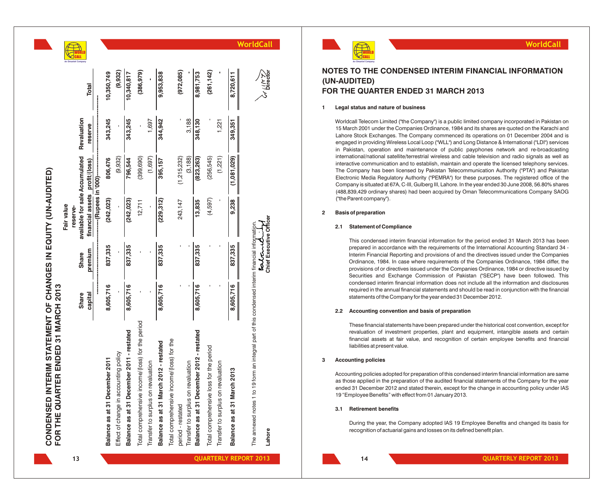



## **NOTES TO THE CONDENSED INTERIM FINANCIAL INFORMATION (UN-AUDITED) FOR THE QUARTER ENDED 31 MARCH 2013**

### **1 Legal status and nature of business**

Worldcall Telecom Limited ("the Company") is a public limited company incorporated in Pakistan on 15 March 2001 under the Companies Ordinance, 1984 and its shares are quoted on the Karachi and Lahore Stock Exchanges. The Company commenced its operations on 01 December 2004 and is engaged in providing Wireless Local Loop ("WLL") and Long Distance & International ("LDI") services in Pakistan, operation and maintenance of public payphones network and re-broadcasting international/national satellite/terrestrial wireless and cable television and radio signals as well as interactive communication and to establish, maintain and operate the licensed telephony services. The Company has been licensed by Pakistan Telecommunication Authority ("PTA") and Pakistan Electronic Media Regulatory Authority ("PEMRA") for these purposes. The registered office of the Company is situated at 67A, C-III, Gulberg III, Lahore. In the year ended 30 June 2008, 56.80% shares (488,839,429 ordinary shares) had been acquired by Oman Telecommunications Company SAOG ("the Parent company").

### **2 Basis of preparation**

### **2.1 Statement of Compliance**

This condensed interim financial information for the period ended 31 March 2013 has been prepared in accordance with the requirements of the International Accounting Standard 34 - Interim Financial Reporting and provisions of and the directives issued under the Companies Ordinance, 1984. In case where requirements of the Companies Ordinance, 1984 differ, the provisions of or directives issued under the Companies Ordinance, 1984 or directive issued by Securities and Exchange Commission of Pakistan ("SECP") have been followed. This condensed interim financial information does not include all the information and disclosures required in the annual financial statements and should be read in conjunction with the financial statements of the Company for the year ended 31 December 2012.

### **2.2 Accounting convention and basis of preparation**

These financial statements have been prepared under the historical cost convention, except for revaluation of investment properties, plant and equipment, intangible assets and certain financial assets at fair value, and recognition of certain employee benefits and financial liabilities at present value.

### **3 Accounting policies**

Accounting policies adopted for preparation of this condensed interim financial information are same as those applied in the preparation of the audited financial statements of the Company for the year ended 31 December 2012 and stated therein, except for the change in accounting policy under IAS 19 "Employee Benefits" with effect from 01 January 2013.

### **3.1 Retirement benefits**

**14**

During the year, the Company adopted IAS 19 Employee Benefits and changed its basis for recognition of actuarial gains and losses on its defined benefit plan.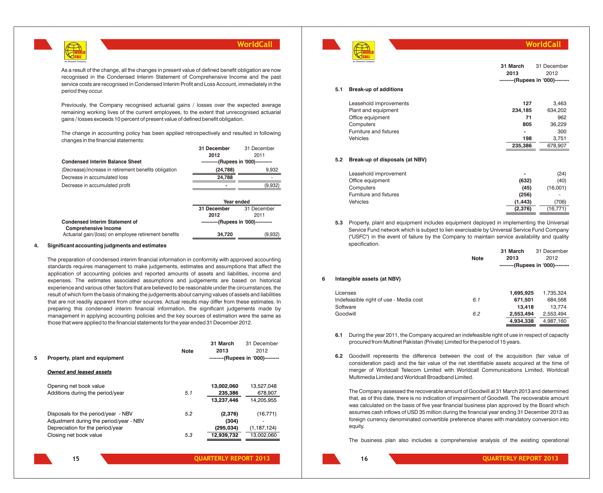

**31 December** 31 December

As a result of the change, all the changes in present value of defined benefit obligation are now recognised in the Condensed Interim Statement of Comprehensive Income and the past service costs are recognised in Condensed Interim Profit and Loss Account, immediately in the period they occur.

Previously, the Company recognised actuarial gains / losses over the expected average remaining working lives of the current employees, to the extent that unrecognised actuarial gains / losses exceeds 10 percent of present value of defined benefit obligation.

The change in accounting policy has been applied retrospectively and resulted in following changes in the financial statements:

|                                                       | эт ресепрег                          | эт ресепрет |
|-------------------------------------------------------|--------------------------------------|-------------|
|                                                       | 2012                                 | 2011        |
| <b>Condensed Interim Balance Sheet</b>                | ----------(Rupees in '000)---------- |             |
| (Decrease)/increase in retirement benefits obligation | (24, 788)                            | 9,932       |
| Decrease in accumulated loss                          | 24.788                               |             |
| Decrease in accumulated profit                        |                                      | (9,932)     |
|                                                       | Year ended                           |             |
|                                                       | 31 December                          | 31 December |
|                                                       | 2012                                 | 2011        |
| <b>Condensed Interim Statement of</b>                 | ----------(Rupees in '000)---------- |             |
| <b>Comprehensive Income</b>                           |                                      |             |
| Actuarial gain/(loss) on employee retirement benefits | 34.720                               | (9,932)     |

### **4. Significant accounting judgments and estimates**

The preparation of condensed interim financial information in conformity with approved accounting standards requires management to make judgements, estimates and assumptions that affect the application of accounting policies and reported amounts of assets and liabilities, income and expenses. The estimates associated assumptions and judgements are based on historical experience and various other factors that are believed to be reasonable under the circumstances, the result of which form the basis of making the judgements about carrying values of assets and liabilities that are not readily apparent from other sources. Actual results may differ from these estimates. In preparing this condensed interim financial information, the significant judgements made by management in applying accounting policies and the key sources of estimation were the same as those that were applied to the financial statements for the year ended 31 December 2012.

|   |                                         | <b>Note</b> | 31 March<br>2013 | 31 December<br>2012              |
|---|-----------------------------------------|-------------|------------------|----------------------------------|
| 5 | Property, plant and equipment           |             |                  | --------(Rupees in '000)-------- |
|   | <b>Owned and leased assets</b>          |             |                  |                                  |
|   | Opening net book value                  |             | 13.002.060       | 13.527.048                       |
|   | Additions during the period/year        | 5.1         | 235,386          | 678,907                          |
|   |                                         |             | 13.237.446       | 14,205,955                       |
|   | Disposals for the period/year - NBV     | 5.2         | (2,376)          | (16, 771)                        |
|   | Adjustment during the period/year - NBV |             | (304)            |                                  |
|   | Depreciation for the period/year        |             | (295, 034)       | (1, 187, 124)                    |
|   | Closing net book value                  | 5.3         | 12,939,732       | 13.002.060                       |



### **WorldCall**

**(2,376)** (16,771)

|     | An Omantel Company             |                          |                                                         |
|-----|--------------------------------|--------------------------|---------------------------------------------------------|
|     |                                | 31 March<br>2013         | 31 December<br>2012<br>--------(Rupees in '000)-------- |
|     |                                |                          |                                                         |
| 5.1 | <b>Break-up of additions</b>   |                          |                                                         |
|     | Leasehold improvements         | 127                      | 3,463                                                   |
|     | Plant and equipment            | 234,185                  | 634,202                                                 |
|     | Office equipment               | 71                       | 962                                                     |
|     | Computers                      | 805                      | 36,229                                                  |
|     | Furniture and fixtures         | $\overline{\phantom{a}}$ | 300                                                     |
|     | Vehicles                       | 198                      | 3,751                                                   |
|     |                                | 235,386                  | 678,907                                                 |
| 5.2 | Break-up of disposals (at NBV) |                          |                                                         |
|     | Leasehold improvement          |                          | (24)                                                    |
|     | Office equipment               | (632)                    | (40)                                                    |
|     | Computers                      | (45)                     | (16,001)                                                |
|     | Furniture and fixtures         | (256)                    |                                                         |

**5.3** Property, plant and equipment includes equipment deployed in implementing the Universal Service Fund network which is subject to lien exercisable by Universal Service Fund Company ("USFC") in the event of failure by the Company to maintain service availability and quality specification.

Vehicles **(1,443)** (706)

|   |                                        | <b>Note</b> | 31 March<br>2013                 | 31 December<br>2012 |
|---|----------------------------------------|-------------|----------------------------------|---------------------|
|   |                                        |             | --------(Rupees in '000)-------- |                     |
| 6 | Intangible assets (at NBV)             |             |                                  |                     |
|   | Licenses                               |             | 1,695,925                        | 1,735,324           |
|   | Indefeasible right of use - Media cost | 6.1         | 671,501                          | 684,568             |
|   | Software                               |             | 13.418                           | 13.774              |
|   | Goodwill                               | 6.2         | 2,553,494                        | 2,553,494           |
|   |                                        |             | 4,934,338                        | 4.987.160           |

- **6.1** During the year 2011, the Company acquired an indefeasible right of use in respect of capacity procured from Multinet Pakistan (Private) Limited for the period of 15 years.
- **6.2** Goodwill represents the difference between the cost of the acquisition (fair value of consideration paid) and the fair value of the net identifiable assets acquired at the time of merger of Worldcall Telecom Limited with Worldcall Communications Limited, Worldcall Multimedia Limited and Worldcall Broadband Limited.

The Company assessed the recoverable amount of Goodwill at 31 March 2013 and determined that, as of this date, there is no indication of impairment of Goodwill. The recoverable amount was calculated on the basis of five year financial business plan approved by the Board which assumes cash inflows of USD 35 million during the financial year ending 31 December 2013 as foreign currency denominated convertible preference shares with mandatory conversion into equity.

The business plan also includes a comprehensive analysis of the existing operational

**15**

**16**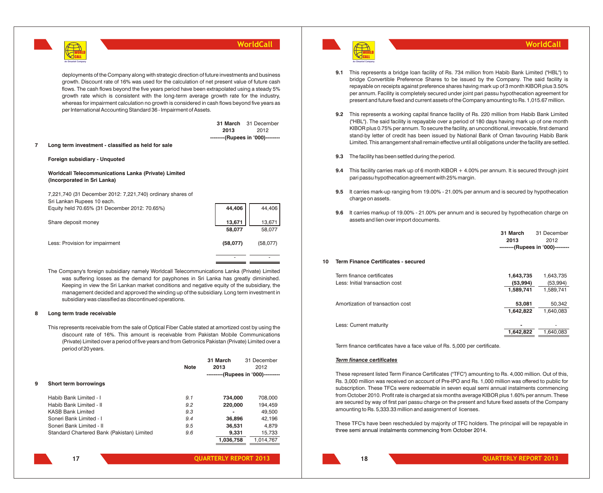

deployments of the Company along with strategic direction of future investments and business growth. Discount rate of 16% was used for the calculation of net present value of future cash flows. The cash flows beyond the five years period have been extrapolated using a steady 5% growth rate which is consistent with the long-term average growth rate for the industry, whereas for impairment calculation no growth is considered in cash flows beyond five years as per International Accounting Standard 36 - Impairment of Assets.

|                                                    |      | 31 March 31 December             |
|----------------------------------------------------|------|----------------------------------|
|                                                    | 2013 | 2012                             |
|                                                    |      | --------(Rupees in '000)-------- |
| Long term investment - classified as held for sale |      |                                  |

#### **Foreign subsidiary - Unquoted**

### **Worldcall Telecommunications Lanka (Private) Limited (Incorporated in Sri Lanka)**

7,221,740 (31 December 2012: 7,221,740) ordinary shares of Sri Lankan Rupees 10 each. Equity held 70.65% (31 December 2012: 70.65%) **44,406** 44,406

| $L^2$ and $L^2$ and $L^2$ and $L^2$ and $L^2$ and $L^2$ and $L^2$ and $L^2$ and $L^2$ and $L^2$ and $L^2$ and $L^2$ and $L^2$ and $L^2$ and $L^2$ and $L^2$ and $L^2$ and $L^2$ and $L^2$ and $L^2$ and $L^2$ and $L^2$ and | .        | .        |
|-----------------------------------------------------------------------------------------------------------------------------------------------------------------------------------------------------------------------------|----------|----------|
| Share deposit money                                                                                                                                                                                                         | 13,671   | 13,671   |
|                                                                                                                                                                                                                             | 58,077   | 58,077   |
| Less: Provision for impairment                                                                                                                                                                                              | (58,077) | (58,077) |
|                                                                                                                                                                                                                             |          |          |

The Company's foreign subsidiary namely Worldcall Telecommunications Lanka (Private) Limited was suffering losses as the demand for payphones in Sri Lanka has greatly diminished. Keeping in view the Sri Lankan market conditions and negative equity of the subsidiary, the management decided and approved the winding up of the subsidiary. Long term investment in subsidiary was classified as discontinued operations.

### **8 Long term trade receivable**

This represents receivable from the sale of Optical Fiber Cable stated at amortized cost by using the discount rate of 16%. This amount is receivable from Pakistan Mobile Communications (Private) Limited over a period of five years and from Getronics Pakistan (Private) Limited over a period of 20 years.

|   |                                            | <b>Note</b> | 31 March<br>2013 | 31 December<br>2012                |
|---|--------------------------------------------|-------------|------------------|------------------------------------|
|   |                                            |             |                  | ---------(Rupees in '000)--------- |
| 9 | Short term borrowings                      |             |                  |                                    |
|   | Habib Bank Limited - I                     | 9.1         | 734.000          | 708.000                            |
|   | Habib Bank Limited - II                    | 9.2         | 220,000          | 194,459                            |
|   | <b>KASB Bank Limited</b>                   | 9.3         |                  | 49.500                             |
|   | Soneri Bank Limited - I                    | 9.4         | 36,896           | 42,196                             |
|   | Soneri Bank Limited - II                   | 9.5         | 36,531           | 4.879                              |
|   | Standard Chartered Bank (Pakistan) Limited | 9.6         | 9.331            | 15,733                             |
|   |                                            |             | 1,036,758        | 1.014.767                          |
|   |                                            |             |                  |                                    |



**17**

WORLD CALL **An Omantel Company**

### **9.1** This represents a bridge loan facility of Rs. 734 million from Habib Bank Limited ("HBL") to bridge Convertible Preference Shares to be issued by the Company. The said facility is repayable on receipts against preference shares having mark up of 3 month KIBOR plus 3.50% per annum. Facility is completely secured under joint pari passu hypothecation agreement for present and future fixed and current assets of the Company amounting to Rs. 1,015.67 million.

- **9.2** This represents a working capital finance facility of Rs. 220 million from Habib Bank Limited ("HBL"). The said facility is repayable over a period of 180 days having mark up of one month KIBOR plus 0.75% per annum. To secure the facility, an unconditional, irrevocable, first demand stand-by letter of credit has been issued by National Bank of Oman favouring Habib Bank Limited. This arrangement shall remain effective until all obligations under the facility are settled.
- **9.3** The facility has been settled during the period.
- **9.4** This facility carries mark up of 6 month KIBOR + 4.00% per annum. It is secured through joint pari passu hypothecation agreement with 25% margin.
- **9.5** It carries mark-up ranging from 19.00% 21.00% per annum and is secured by hypothecation charge on assets.
- **9.6** It carries markup of 19.00% 21.00% per annum and is secured by hypothecation charge on assets and lien over import documents.

|    |                                                             | 31 March<br>2013                   | 31 December<br>2012<br>--------(Rupees in '000)-------- |
|----|-------------------------------------------------------------|------------------------------------|---------------------------------------------------------|
| 10 | <b>Term Finance Certificates - secured</b>                  |                                    |                                                         |
|    | Term finance certificates<br>Less: Initial transaction cost | 1,643,735<br>(53,994)<br>1.589.741 | 1,643,735<br>(53,994)<br>1.589.741                      |
|    | Amortization of transaction cost                            | 53,081<br>1,642,822                | 50,342<br>1,640,083                                     |
|    | Less: Current maturity                                      |                                    |                                                         |

Term finance certificates have a face value of Rs. 5,000 per certificate.

### *Term finance certificates*

These represent listed Term Finance Certificates ("TFC") amounting to Rs. 4,000 million. Out of this, Rs. 3,000 million was received on account of Pre-IPO and Rs. 1,000 million was offered to public for subscription. These TFCs were redeemable in seven equal semi annual instalments commencing from October 2010. Profit rate is charged at six months average KIBOR plus 1.60% per annum. These are secured by way of first pari passu charge on the present and future fixed assets of the Company amounting to Rs. 5,333.33 million and assignment of licenses.

These TFC's have been rescheduled by majority of TFC holders. The principal will be repayable in three semi annual instalments commencing from October 2014.

**WorldCall**

**18**

**1,642,822** 1,640,083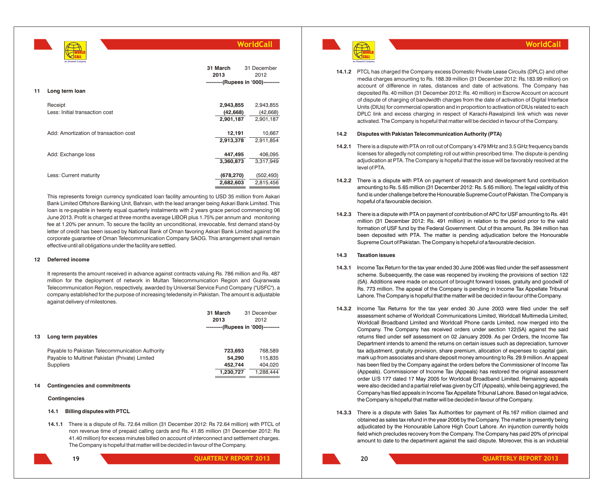WORLD CALL

**11 Long term loan**

| An Omantel Company                    |                                |                     |
|---------------------------------------|--------------------------------|---------------------|
|                                       | 31 March<br>2013               | 31 December<br>2012 |
|                                       | ---------(Rupees in '000)----- |                     |
| Long term loan                        |                                |                     |
| Receipt                               | 2,943,855                      | 2,943,855           |
| Less: Initial transaction cost        | (42, 668)                      | (42, 668)           |
|                                       | 2,901,187                      | 2,901,187           |
| Add: Amortization of transaction cost | 12,191                         | 10,667              |
|                                       | 2,913,378                      | 2.911.854           |
| Add: Exchange loss                    | 447,495                        | 406,095             |
|                                       | 3,360,873                      | 3.317.949           |
| Less: Current maturity                | (678, 270)                     | (502, 493)          |
|                                       | 2,682,603                      | 2,815,456           |
|                                       |                                |                     |

This represents foreign currency syndicated loan facility amounting to USD 35 million from Askari Bank Limited Offshore Banking Unit, Bahrain, with the lead arranger being Askari Bank Limited. This loan is re-payable in twenty equal quarterly instalments with 2 years grace period commencing 06 June 2013. Profit is charged at three months average LIBOR plus 1.75% per annum and monitoring fee at 1.20% per annum. To secure the facility an unconditional, irrevocable, first demand stand-by letter of credit has been issued by National Bank of Oman favoring Askari Bank Limited against the corporate guarantee of Oman Telecommunication Company SAOG. This arrangement shall remain effective until all obligations under the facility are settled.

### **12 Deferred income**

It represents the amount received in advance against contracts valuing Rs. 786 million and Rs. 487 million for the deployment of network in Multan Telecommunication Region and Gujranwala Telecommunication Region, respectively, awarded by Universal Service Fund Company ("USFC"), a company established for the purpose of increasing teledensity in Pakistan. The amount is adjustable against delivery of milestones.

|    |                                                                                                                                                                                               | 31 March<br>2013<br>---------(Rupees in '000)--------- | 31 December<br>2012                        |
|----|-----------------------------------------------------------------------------------------------------------------------------------------------------------------------------------------------|--------------------------------------------------------|--------------------------------------------|
| 13 | Long term payables                                                                                                                                                                            |                                                        |                                            |
|    | Payable to Pakistan Telecommunication Authority<br>Payable to Multinet Pakistan (Private) Limited<br><b>Suppliers</b>                                                                         | 723,693<br>54.290<br>452,744<br>1.230.727              | 768,589<br>115,835<br>404,020<br>1.288.444 |
| 14 | <b>Contingencies and commitments</b>                                                                                                                                                          |                                                        |                                            |
|    | <b>Contingencies</b>                                                                                                                                                                          |                                                        |                                            |
|    | <b>Billing disputes with PTCL</b><br>14.1                                                                                                                                                     |                                                        |                                            |
|    | There is a dispute of Rs. 72.64 million (31 December 2012: Rs 72.64 million) with PTCL of<br>14.1.1<br>non revenue time of prepaid calling cards and Bs. 41.85 million (31 December 2012: Bs. |                                                        |                                            |

non revenue time of prepaid calling cards and Rs. 41.85 million (31 December 2012: Rs 41.40 million) for excess minutes billed on account of interconnect and settlement charges. The Company is hopeful that matter will be decided in favour of the Company.



WORLD CALL **An Omantel Company**

**14.1.2** PTCL has charged the Company excess Domestic Private Lease Circuits (DPLC) and other media charges amounting to Rs. 188.39 million (31 December 2012: Rs.183.99 million) on account of difference in rates, distances and date of activations. The Company has deposited Rs. 40 million (31 December 2012: Rs. 40 million) in Escrow Account on account of dispute of charging of bandwidth charges from the date of activation of Digital Interface Units (DIUs) for commercial operation and in proportion to activation of DIUs related to each DPLC link and excess charging in respect of Karachi-Rawalpindi link which was never activated. The Company is hopeful that matter will be decided in favour of the Company.

### **14.2 Disputes with Pakistan Telecommunication Authority (PTA)**

- **14.2.1** There is a dispute with PTA on roll out of Company's 479 MHz and 3.5 GHz frequency bands licenses for allegedly not completing roll out within prescribed time. The dispute is pending adjudication at PTA. The Company is hopeful that the issue will be favorably resolved at the level of PTA.
- **14.2.2** There is a dispute with PTA on payment of research and development fund contribution amounting to Rs. 5.65 million (31 December 2012: Rs. 5.65 million). The legal validity of this fund is under challenge before the Honourable Supreme Court of Pakistan. The Company is hopeful of a favourable decision.
- **14.2.3** There is a dispute with PTA on payment of contribution of APC for USF amounting to Rs. 491 million (31 December 2012: Rs. 491 million) in relation to the period prior to the valid formation of USF fund by the Federal Government. Out of this amount, Rs. 394 million has been deposited with PTA. The matter is pending adjudication before the Honourable Supreme Court of Pakistan. The Company is hopeful of a favourable decision.

### **14.3 Taxation issues**

- **14.3.1** Income Tax Return for the tax year ended 30 June 2006 was filed under the self assessment scheme. Subsequently, the case was reopened by invoking the provisions of section 122 (5A). Additions were made on account of brought forward losses, gratuity and goodwill of Rs. 773 million. The appeal of the Company is pending in Income Tax Appellate Tribunal Lahore. The Company is hopeful that the matter will be decided in favour of the Company.
- **14.3.2** Income Tax Returns for the tax year ended 30 June 2003 were filed under the self assessment scheme of Worldcall Communications Limited, Worldcall Multimedia Limited, Worldcall Broadband Limited and Worldcall Phone cards Limited, now merged into the Company. The Company has received orders under section 122(5A) against the said returns filed under self assessment on 02 January 2009. As per Orders, the Income Tax Department intends to amend the returns on certain issues such as depreciation, turnover tax adjustment, gratuity provision, share premium, allocation of expenses to capital gain, mark up from associates and share deposit money amounting to Rs. 29.9 million. An appeal has been filed by the Company against the orders before the Commissioner of Income Tax (Appeals). Commissioner of Income Tax (Appeals) has restored the original assessment order U/S 177 dated 17 May 2005 for Worldcall Broadband Limited. Remaining appeals were also decided and a partial relief was given by CIT (Appeals), while being aggrieved, the Company has filed appeals in Income Tax Appellate Tribunal Lahore. Based on legal advice, the Company is hopeful that matter will be decided in favour of the Company.
- **14.3.3** There is a dispute with Sales Tax Authorities for payment of Rs.167 million claimed and obtained as sales tax refund in the year 2006 by the Company. The matter is presently being adjudicated by the Honourable Lahore High Court Lahore. An injunction currently holds field which precludes recovery from the Company. The Company has paid 20% of principal amount to date to the department against the said dispute. Moreover, this is an industrial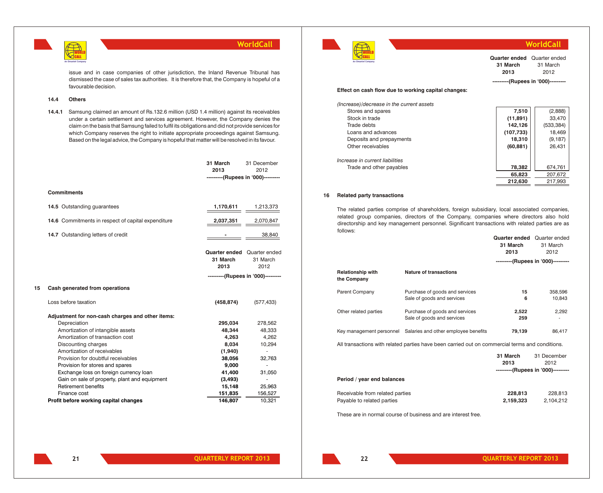issue and in case companies of other jurisdiction, the Inland Revenue Tribunal has dismissed the case of sales tax authorities. It is therefore that, the Company is hopeful of a favourable decision.

### **14.4 Others**

**14.4.1** Samsung claimed an amount of Rs.132.6 million (USD 1.4 million) against its receivables under a certain settlement and services agreement. However, the Company denies the claim on the basis that Samsung failed to fulfil its obligations and did not provide services for which Company reserves the right to initiate appropriate proceedings against Samsung. Based on the legal advice, the Company is hopeful that matter will be resolved in its favour.

|    |                                                    | 31 March<br>2013<br>---------(Rupees in '000)--------- | 31 December<br>2012                |
|----|----------------------------------------------------|--------------------------------------------------------|------------------------------------|
|    | <b>Commitments</b>                                 |                                                        |                                    |
|    | 14.5 Outstanding quarantees                        | 1,170,611                                              | 1,213,373                          |
|    | 14.6 Commitments in respect of capital expenditure | 2,037,351                                              | 2,070,847                          |
|    | 14.7 Outstanding letters of credit                 |                                                        | 38,840                             |
|    |                                                    | Quarter ended Quarter ended<br>31 March<br>2013        | 31 March<br>2012                   |
|    |                                                    |                                                        | ---------(Rupees in '000)--------- |
| 15 | Cash generated from operations                     |                                                        |                                    |
|    | Loss before taxation                               | (458, 874)                                             | (577, 433)                         |
|    | Adjustment for non-cash charges and other items:   |                                                        |                                    |
|    | Depreciation                                       | 295,034                                                | 278,562                            |
|    | Amortization of intangible assets                  | 48.344                                                 | 48,333                             |
|    | Amortization of transaction cost                   | 4,263                                                  | 4,262                              |
|    | Discounting charges                                | 8,034                                                  | 10,294                             |
|    | Amortization of receivables                        | (1,940)                                                | ä,                                 |
|    | Provision for doubtful receivables                 | 38,056                                                 | 32,763                             |
|    | Provision for stores and spares                    | 9,000                                                  |                                    |
|    | Exchange loss on foreign currency loan             | 41,400                                                 | 31,050                             |
|    | Gain on sale of property, plant and equipment      | (3, 493)                                               |                                    |
|    | Retirement benefits                                | 15,148                                                 | 25,963                             |
|    | Finance cost                                       | 151,835                                                | 156,527                            |
|    | Profit before working capital changes              | 146,807                                                | 10,321                             |



### **WorldCall**

|                | <b>Quarter ended</b> Quarter ended |                                    |  |
|----------------|------------------------------------|------------------------------------|--|
|                | 31 March                           | 31 March                           |  |
|                | 2013                               | 2012                               |  |
|                |                                    | ---------(Rupees in '000)--------- |  |
| vital changes: |                                    |                                    |  |
|                |                                    |                                    |  |
|                |                                    |                                    |  |

### **Effect on cash flow due to working cap**

| (Increase)/decrease in the current assets |            |            |
|-------------------------------------------|------------|------------|
| Stores and spares                         | 7,510      | (2,888)    |
| Stock in trade                            | (11, 891)  | 33,470     |
| Trade debts                               | 142,126    | (533, 384) |
| Loans and advances                        | (107, 733) | 18,469     |
| Deposits and prepayments                  | 18,310     | (9, 187)   |
| Other receivables                         | (60, 881)  | 26,431     |
| Increase in current liabilities           |            |            |
| Trade and other payables                  | 78,382     | 674,761    |
|                                           | 65,823     | 207,672    |
|                                           | 212,630    | 217,993    |
|                                           |            |            |

### **16 Related party transactions**

The related parties comprise of shareholders, foreign subsidiary, local associated companies, related group companies, directors of the Company, companies where directors also hold directorship and key management personnel. Significant transactions with related parties are as follows:

|                                         |                                                              | Quarter ended<br>31 March<br>2013 | Quarter ended<br>31 March<br>2012  |
|-----------------------------------------|--------------------------------------------------------------|-----------------------------------|------------------------------------|
|                                         |                                                              |                                   | ---------(Rupees in '000)--------- |
| <b>Relationship with</b><br>the Company | Nature of transactions                                       |                                   |                                    |
| <b>Parent Company</b>                   | Purchase of goods and services<br>Sale of goods and services | 15<br>6                           | 358,596<br>10.843                  |
| Other related parties                   | Purchase of goods and services<br>Sale of goods and services | 2.522<br>259                      | 2.292<br>$\overline{\phantom{a}}$  |
| Key management personnel                | Salaries and other employee benefits                         | 79,139                            | 86,417                             |

All transactions with related parties have been carried out on commercial terms and conditions.

|                                                               | 31 March<br>2013     | 31 December<br>2012<br>---------(Rupees in '000)--------- |
|---------------------------------------------------------------|----------------------|-----------------------------------------------------------|
| Period / year end balances                                    |                      |                                                           |
| Receivable from related parties<br>Payable to related parties | 228,813<br>2,159,323 | 228,813<br>2,104,212                                      |

These are in normal course of business and are interest free.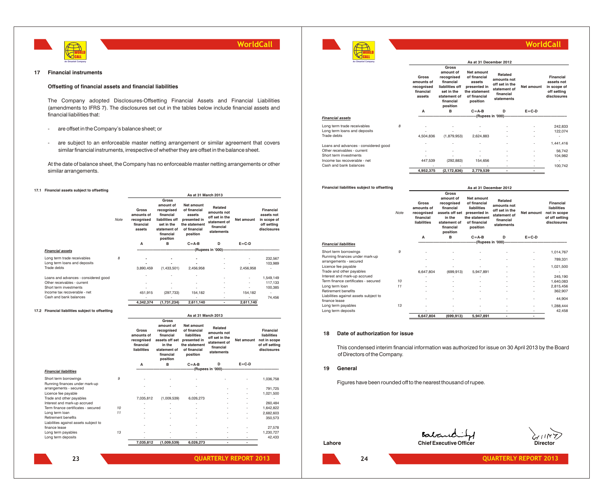



### **WorldCall**

| --<br>An Omantel Company                                                        |                                                          | As at 31 December 2012                                                                                                  |                                                                                                   |                                                                                            |                          |                                                                             |  |  |
|---------------------------------------------------------------------------------|----------------------------------------------------------|-------------------------------------------------------------------------------------------------------------------------|---------------------------------------------------------------------------------------------------|--------------------------------------------------------------------------------------------|--------------------------|-----------------------------------------------------------------------------|--|--|
|                                                                                 | Gross<br>amounts of<br>recognised<br>financial<br>assets | Gross<br>amount of<br>recognised<br>financial<br>liabilities off<br>set in the<br>statement of<br>financial<br>position | Net amount<br>of financial<br>assets<br>presented in<br>the statement<br>of financial<br>position | <b>Related</b><br>amounts not<br>off set in the<br>statement of<br>financial<br>statements | Net amount               | <b>Financial</b><br>assets not<br>in scope of<br>off setting<br>disclosures |  |  |
|                                                                                 | A                                                        | в                                                                                                                       | $C = A - B$                                                                                       | D                                                                                          | $E = C - D$              |                                                                             |  |  |
| <b>Financial assets</b>                                                         |                                                          |                                                                                                                         | ----------------------(Rupees in '000)-----------------------                                     |                                                                                            |                          |                                                                             |  |  |
| Long term trade receivables<br>8<br>Long term loans and deposits<br>Trade debts | 4.504.836                                                | (1.879.953)                                                                                                             | 2.624.883                                                                                         |                                                                                            | ٠                        | 242,833<br>122,074                                                          |  |  |
| Loans and advances - considered good                                            |                                                          |                                                                                                                         |                                                                                                   |                                                                                            | ٠                        | 1,441,416                                                                   |  |  |
| Other receivables - current<br>Short term investments                           |                                                          |                                                                                                                         |                                                                                                   |                                                                                            | ٠                        | 56,742<br>104,982                                                           |  |  |
| Income tax recoverable - net<br>Cash and bank balances                          | 447,539                                                  | (292, 883)                                                                                                              | 154.656                                                                                           |                                                                                            |                          |                                                                             |  |  |
|                                                                                 | 4,952,375                                                | (2, 172, 836)                                                                                                           | 2,779,539                                                                                         | ۰                                                                                          | $\overline{\phantom{0}}$ | 100.742                                                                     |  |  |
| Financial liabilities subject to offsetting                                     |                                                          |                                                                                                                         | As at 31 December 2012                                                                            |                                                                                            |                          |                                                                             |  |  |

|                                                        | Note | Gross<br>amounts of<br>recognised<br>financial<br>liabilities | <b>Gross</b><br>amount of<br>recognised<br>financial<br>assets off set<br>in the<br>statement of<br>financial<br>position | Net amount<br>of financial<br>liabilities<br>presented in<br>the statement<br>of financial<br>position | Related<br>amounts not<br>off set in the<br>statement of<br>financial<br>statements | Net amount     | Financial<br>liabilities<br>not in scope<br>of off setting<br>disclosures |
|--------------------------------------------------------|------|---------------------------------------------------------------|---------------------------------------------------------------------------------------------------------------------------|--------------------------------------------------------------------------------------------------------|-------------------------------------------------------------------------------------|----------------|---------------------------------------------------------------------------|
|                                                        |      | A                                                             | B                                                                                                                         | $C = A - B$                                                                                            | D                                                                                   | $E = C - D$    |                                                                           |
| <b>Financial liabilities</b>                           |      |                                                               |                                                                                                                           |                                                                                                        |                                                                                     |                |                                                                           |
| Short term borrowings                                  | 9    |                                                               |                                                                                                                           |                                                                                                        |                                                                                     |                | 1,014,767                                                                 |
| Running finances under mark-up                         |      |                                                               |                                                                                                                           |                                                                                                        |                                                                                     |                |                                                                           |
| arrangements - secured                                 |      |                                                               |                                                                                                                           |                                                                                                        |                                                                                     |                | 789,331                                                                   |
| Licence fee payable                                    |      |                                                               |                                                                                                                           |                                                                                                        |                                                                                     |                | 1,021,500                                                                 |
| Trade and other payables                               |      | 6,647,804                                                     | (699, 913)                                                                                                                | 5,947,891                                                                                              |                                                                                     |                |                                                                           |
| Interest and mark-up accrued                           |      |                                                               |                                                                                                                           |                                                                                                        |                                                                                     |                | 245,190                                                                   |
| Term finance certificates - secured                    | 10   |                                                               |                                                                                                                           |                                                                                                        |                                                                                     |                | 1,640,083                                                                 |
| Long term loan                                         | 11   |                                                               |                                                                                                                           |                                                                                                        |                                                                                     |                | 2,815,456                                                                 |
| Retirement benefits                                    |      |                                                               |                                                                                                                           |                                                                                                        |                                                                                     |                | 362,907                                                                   |
| Liabilities against assets subject to<br>finance lease |      |                                                               |                                                                                                                           | ٠                                                                                                      | ٠                                                                                   |                | 44,904                                                                    |
| Long term payables                                     | 13   |                                                               |                                                                                                                           |                                                                                                        |                                                                                     |                | 1,288,444                                                                 |
| Long term deposits                                     |      |                                                               |                                                                                                                           |                                                                                                        |                                                                                     |                | 42,458                                                                    |
|                                                        |      | 6.647.804                                                     | (699.913)                                                                                                                 | 5,947,891                                                                                              | $\overline{\phantom{0}}$                                                            | $\overline{a}$ |                                                                           |

#### **18 Date of authorization for issue**

This condensed interim financial information was authorized for issue on 30 April 2013 by the Board of Directors of the Company.

### **19 General**

Figures have been rounded off to the nearest thousand of rupee.







### **Offsetting of financial assets and financial liabilities**

The Company adopted Disclosures-Offsetting Financial Assets and Financial Liabilities (amendments to IFRS 7). The disclosures set out in the tables below include financial assets and financial liabilities that:

- are offset in the Company's balance sheet; or
- are subject to an enforceable master netting arrangement or similar agreement that covers similar financial instruments, irrespective of whether they are offset in the balance sheet.

At the date of balance sheet, the Company has no enforceable master netting arrangements or other similar arrangements.

#### **17.1 Financial assets subject to offsetting**

|                                      |      |                                                          | As at 31 March 2013                                                                                                     |                                                                                                   |                                                                                     |             |                                                                      |  |  |
|--------------------------------------|------|----------------------------------------------------------|-------------------------------------------------------------------------------------------------------------------------|---------------------------------------------------------------------------------------------------|-------------------------------------------------------------------------------------|-------------|----------------------------------------------------------------------|--|--|
|                                      | Note | Gross<br>amounts of<br>recognised<br>financial<br>assets | Gross<br>amount of<br>recognised<br>financial<br>liabilities off<br>set in the<br>statement of<br>financial<br>position | Net amount<br>of financial<br>assets<br>presented in<br>the statement<br>of financial<br>position | Related<br>amounts not<br>off set in the<br>statement of<br>financial<br>statements | Net amount  | Financial<br>assets not<br>in scope of<br>off setting<br>disclosures |  |  |
|                                      |      | A                                                        | в                                                                                                                       | $C = A-B$                                                                                         | D                                                                                   | $E = C - D$ |                                                                      |  |  |
| <b>Financial assets</b>              |      |                                                          |                                                                                                                         |                                                                                                   |                                                                                     |             |                                                                      |  |  |
| Long term trade receivables          | 8    |                                                          |                                                                                                                         | $\qquad \qquad \blacksquare$                                                                      |                                                                                     |             | 232,567                                                              |  |  |
| Long term loans and deposits         |      |                                                          | ٠                                                                                                                       | $\overline{a}$                                                                                    |                                                                                     |             | 103,989                                                              |  |  |
| Trade debts                          |      | 3,890,459                                                | (1,433,501)                                                                                                             | 2,456,958                                                                                         |                                                                                     | 2,456,958   |                                                                      |  |  |
| Loans and advances - considered good |      |                                                          |                                                                                                                         | ٠                                                                                                 |                                                                                     |             | 1,549,149                                                            |  |  |
| Other receivables - current          |      |                                                          |                                                                                                                         | ٠                                                                                                 |                                                                                     | ٠           | 117,133                                                              |  |  |
| Short term investments               |      |                                                          |                                                                                                                         | ٠                                                                                                 | ۰                                                                                   | ۰           | 100,385                                                              |  |  |
| Income tax recoverable - net         |      | 451,915                                                  | (297, 733)                                                                                                              | 154,182                                                                                           |                                                                                     | 154,182     |                                                                      |  |  |
| Cash and bank balances               |      |                                                          |                                                                                                                         |                                                                                                   | ٠                                                                                   |             | 74,456                                                               |  |  |
|                                      |      | 4,342,374                                                | (1,731,234)                                                                                                             | 2,611,140                                                                                         |                                                                                     | 2,611,140   |                                                                      |  |  |

**17.2 Financial liabilities subject to offsetting**

|                                                         |    |                                                               |                                                                                                                    | As at 31 March 2013                                                                                           |                                                                                     |                          |                                                                           |
|---------------------------------------------------------|----|---------------------------------------------------------------|--------------------------------------------------------------------------------------------------------------------|---------------------------------------------------------------------------------------------------------------|-------------------------------------------------------------------------------------|--------------------------|---------------------------------------------------------------------------|
|                                                         |    | Gross<br>amounts of<br>recognised<br>financial<br>liabilities | Gross<br>amount of<br>recognised<br>financial<br>assets off set<br>in the<br>statement of<br>financial<br>position | Net amount<br>of financial<br><b>liabilities</b><br>presented in<br>the statement<br>of financial<br>position | Related<br>amounts not<br>off set in the<br>statement of<br>financial<br>statements | Net amount               | Financial<br>liabilities<br>not in scope<br>of off setting<br>disclosures |
|                                                         |    | A                                                             | в                                                                                                                  | $C = A - B$                                                                                                   | D.                                                                                  | $E = C - D$              |                                                                           |
| <b>Financial liabilities</b>                            |    |                                                               |                                                                                                                    |                                                                                                               |                                                                                     |                          |                                                                           |
| Short term borrowings<br>Running finances under mark-up | 9  |                                                               |                                                                                                                    |                                                                                                               |                                                                                     |                          | 1.036.758                                                                 |
| arrangements - secured                                  |    |                                                               |                                                                                                                    |                                                                                                               |                                                                                     |                          | 791,725                                                                   |
| Licence fee payable                                     |    |                                                               |                                                                                                                    |                                                                                                               |                                                                                     |                          | 1,021,500                                                                 |
| Trade and other payables                                |    | 7.035.812                                                     | (1,009,539)                                                                                                        | 6.026.273                                                                                                     |                                                                                     |                          |                                                                           |
| Interest and mark-up accrued                            |    |                                                               |                                                                                                                    |                                                                                                               |                                                                                     |                          | 260,484                                                                   |
| Term finance certificates - secured                     | 10 |                                                               |                                                                                                                    |                                                                                                               |                                                                                     |                          | 1.642.822                                                                 |
| Long term loan                                          | 11 |                                                               |                                                                                                                    |                                                                                                               |                                                                                     | ٠                        | 2.682.603                                                                 |
| Retirement benefits                                     |    |                                                               |                                                                                                                    |                                                                                                               |                                                                                     |                          | 350,573                                                                   |
| Liabilities against assets subject to<br>finance lease  |    |                                                               |                                                                                                                    |                                                                                                               |                                                                                     |                          | 27.578                                                                    |
| Long term payables                                      | 13 |                                                               |                                                                                                                    |                                                                                                               |                                                                                     |                          | 1,230,727                                                                 |
| Long term deposits                                      |    |                                                               |                                                                                                                    |                                                                                                               |                                                                                     |                          | 42.433                                                                    |
|                                                         |    | 7,035,812                                                     | (1.009.539)                                                                                                        | 6.026.273                                                                                                     | $\overline{\phantom{a}}$                                                            | $\overline{\phantom{a}}$ |                                                                           |

**23**

**24**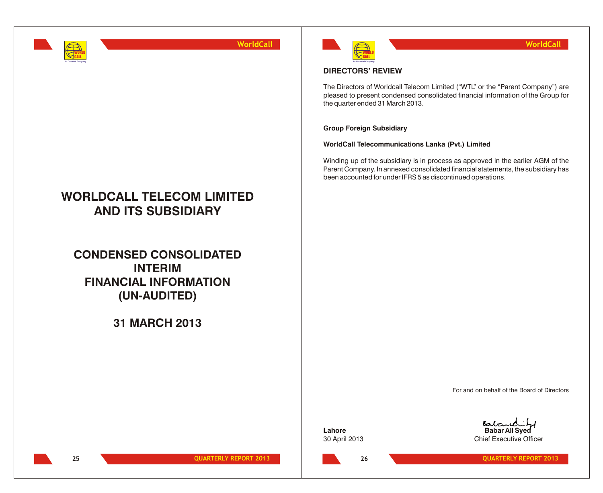

## **WORLDCALL TELECOM LIMITED AND ITS SUBSIDIARY**

## **CONDENSED CONSOLIDATED INTERIM FINANCIAL INFORMATION (UN-AUDITED)**

## **31 MARCH 2013**



## **DIRECTORS' REVIEW**

The Directors of Worldcall Telecom Limited ("WTL" or the "Parent Company") are pleased to present condensed consolidated financial information of the Group for the quarter ended 31 March 2013.

## **Group Foreign Subsidiary**

**WorldCall Telecommunications Lanka (Pvt.) Limited**

Winding up of the subsidiary is in process as approved in the earlier AGM of the Parent Company. In annexed consolidated financial statements, the subsidiary has been accounted for under IFRS 5 as discontinued operations.

For and on behalf of the Board of Directors

**Lahore Babar Ali Syed** 30 April 2013 Chief Executive Officer

**26**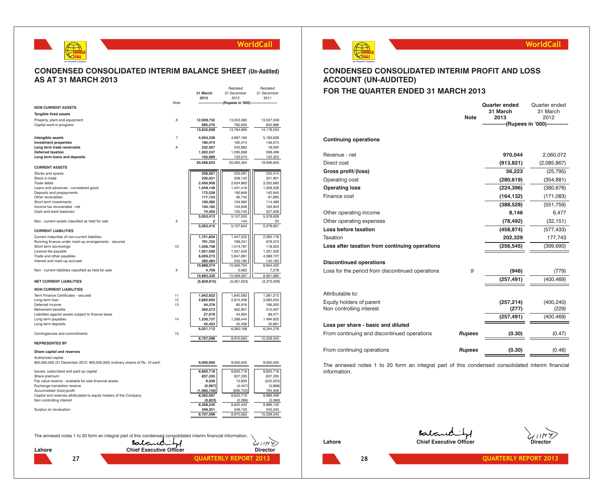

## **CONDENSED CONSOLIDATED INTERIM BALANCE SHEET (Un-Audited) AS AT 31 MARCH 2013**

|                                                                                                               |                                |                          |                   | Restated                | Restated               |
|---------------------------------------------------------------------------------------------------------------|--------------------------------|--------------------------|-------------------|-------------------------|------------------------|
|                                                                                                               |                                | 31 March<br>2013         |                   | 31 December<br>2012     | 31 December<br>2011    |
|                                                                                                               | Note                           |                          |                   | (Rupees in '000)-       |                        |
| <b>NON CURRENT ASSETS</b>                                                                                     |                                |                          |                   |                         |                        |
| <b>Tangible fixed assets</b>                                                                                  |                                |                          |                   |                         |                        |
| Property, plant and equipment                                                                                 | 6                              | 12.939.732               |                   | 13,002,060              | 13,527,048             |
| Capital work-in-progress                                                                                      |                                | 13,635,008               | 695,276           | 782,635<br>13,784,695   | 650,986<br>14,178,034  |
|                                                                                                               |                                |                          |                   |                         |                        |
| Intangible assets<br><b>Investment properties</b>                                                             | 7                              | 4,934,338                | 160,474           | 4,987,160<br>160,474    | 5,183,628<br>146,074   |
| Long term trade receivable                                                                                    | 8                              |                          | 232,567           | 242,883                 | 18,092                 |
| <b>Deferred taxation</b>                                                                                      |                                | 1,502,247                |                   | 1,295,068               | 288,499                |
| Long term loans and deposits                                                                                  |                                |                          | 103,989           | 122,074                 | 132,323                |
| <b>CURRENT ASSETS</b>                                                                                         |                                | 20,568,623               |                   | 20,592,354              | 19,946,650             |
| Stores and spares                                                                                             |                                |                          | 208,581           | 225,091                 | 235,415                |
| Stock in trade                                                                                                |                                |                          | 220,031           | 208,140                 | 201,901                |
| Trade debts<br>Loans and advances - considered good                                                           |                                | 2,456,958<br>1,549,149   |                   | 2,624,883<br>1,441,416  | 3,252,683<br>1,058,229 |
| Deposits and prepayments                                                                                      |                                |                          | 172,538           | 190,848                 | 142,945                |
| Other receivables                                                                                             |                                |                          | 117,133           | 56,742                  | 81,995                 |
| Short term investments                                                                                        |                                |                          | 100,385           | 104,982                 | 114,489                |
| Income tax recoverable - net                                                                                  |                                |                          | 154,182           | 154,656                 | 163,943                |
| Cash and bank balances                                                                                        |                                | 5,053,413                | 74,456            | 100,742<br>5,107,500    | 327,028<br>5,578,628   |
| Non - current assets classified as held for sale                                                              | 9                              |                          | 2                 | 144                     | 23                     |
| <b>CURRENT LIABILITIES</b>                                                                                    |                                | 5,053,415                |                   | 5,107,644               | 5,578,651              |
| Current maturities of non-current liabilities                                                                 |                                | 1,751,834                |                   | 1,447,025               | 2,095,116              |
| Running finance under mark-up arrangements - secured                                                          |                                |                          | 791,725           | 789,331                 | 979,373                |
| Short term borrowings                                                                                         | 10                             | 1,036,758                |                   | 1,014,767               | 118,503                |
| License fee payable                                                                                           |                                | 1,021,500                |                   | 1,021,500               | 1,021,500              |
| Trade and other payables<br>Interest and mark-up accrued                                                      |                                | 6,026,273                | 260,484           | 5,947,891<br>245,190    | 4,589,727<br>140,183   |
|                                                                                                               |                                | 10,888,574               |                   | 10,465,704              | 8,944,402              |
| Non - current liabilities classified as held for sale                                                         | 9                              |                          | 4,756             | 3,563                   | 7,278                  |
|                                                                                                               |                                | 10,893,330               |                   | 10,469,267              | 8,951,680              |
| <b>NET CURRENT LIABILITIES</b>                                                                                |                                | (5,839,915)              |                   | (5,361,623)             | (3.373.029)            |
| <b>NON CURRENT LIABILITIES</b>                                                                                |                                |                          |                   |                         |                        |
| Term Finance Certificates - secured                                                                           | 11                             | 1,642,822                |                   | 1,640,083               | 1,081,213              |
| Long term loan                                                                                                | 12                             | 2,682,603                |                   | 2,815,456               | 3,060,004              |
| Deferred income<br>Retirement benefits                                                                        | 13                             |                          | 44,376<br>350,573 | 65,916<br>362,907       | 166,300<br>310,007     |
| Liabilities against assets subject to finance lease                                                           |                                |                          | 27,578            | 44,904                  | 89,471                 |
| Long term payables                                                                                            | 14                             | 1,230,727                |                   | 1,288,444               | 1,494,620              |
| Long term deposits                                                                                            |                                |                          | 42,433            | 42,458                  | 42,661                 |
| Contingencies and commitments                                                                                 | 15                             | 6,021,112                |                   | 6,260,168               | 6,244,276              |
| <b>REPRESENTED BY</b>                                                                                         |                                | 8,707,596                |                   | 8.970.563               | 10.329.345             |
| Share capital and reserves                                                                                    |                                |                          |                   |                         |                        |
| Authorized capital                                                                                            |                                |                          |                   |                         |                        |
| 900,000,000 (31 December 2012: 900,000,000) ordinary shares of Rs. 10 each                                    |                                | 9,000,000                |                   | 9,000,000               | 9.000.000              |
| Issued, subscribed and paid up capital                                                                        |                                | 8,605,716                |                   | 8,605,716               | 8,605,716              |
| Share premium                                                                                                 |                                |                          | 837,335           | 837,335                 | 837,335                |
| Fair value reserve - available for sale financial assets                                                      |                                |                          | 9,238             | 13,835                  | (242, 023)             |
| Exchange translation reserve                                                                                  |                                |                          | (5,067)           | (4, 447)                | (5,868)<br>794,309     |
| Accumulated (loss)/profit<br>Capital and reserves attributable to equity holders of the Company               |                                | (1,085,155)<br>8,362,067 |                   | (826, 720)<br>8,625,719 | 9,989,469              |
| Non controlling interest                                                                                      |                                |                          | (3,822)           | (3,286)                 | (3,369)                |
|                                                                                                               |                                | 8,358,245                |                   | 8,622,433               | 9,986,100              |
| Surplus on revaluation                                                                                        |                                | 8,707,596                | 349,351           | 348,130<br>8,970,563    | 343,245<br>10.329.345  |
|                                                                                                               |                                |                          |                   |                         |                        |
|                                                                                                               |                                |                          |                   |                         |                        |
| The annexed notes 1 to 20 form an integral part of this condensed consolidated interim financial information. |                                |                          |                   |                         |                        |
|                                                                                                               | Babandit                       |                          |                   |                         | GINNY                  |
| Lahore                                                                                                        | <b>Chief Executive Officer</b> |                          |                   |                         | Director               |



## **WorldCall**

## **CONDENSED CONSOLIDATED INTERIM PROFIT AND LOSS ACCOUNT (UN-AUDITED)**

## **FOR THE QUARTER ENDED 31 MARCH 2013**

|                                                  | <b>Note</b>   | <b>Quarter ended</b><br>31 March<br>2013  | Quarter ended<br>31 March<br>2012 |
|--------------------------------------------------|---------------|-------------------------------------------|-----------------------------------|
|                                                  |               | -------------(Rupees in '000)------------ |                                   |
| <b>Continuing operations</b>                     |               |                                           |                                   |
| Revenue - net                                    |               | 970,044                                   | 2,060,072                         |
| Direct cost                                      |               | (913, 821)                                | (2,085,867)                       |
| Gross profit/(loss)                              |               | 56,223                                    | (25, 795)                         |
| Operating cost                                   |               | (280, 619)                                | (354, 881)                        |
| <b>Operating loss</b>                            |               | (224, 396)                                | (380, 676)                        |
| Finance cost                                     |               | (164, 132)                                | (171,083)                         |
|                                                  |               | (388, 528)                                | (551, 759)                        |
| Other operating income                           |               | 8,146                                     | 6,477                             |
| Other operating expenses                         |               | (78, 492)                                 | (32, 151)                         |
| Loss before taxation                             |               | (458, 874)                                | (577, 433)                        |
| Taxation                                         |               | 202,329                                   | 177,743                           |
| Loss after taxation from continuing operations   |               | (256, 545)                                | (399, 690)                        |
| <b>Discontinued operations</b>                   |               |                                           |                                   |
| Loss for the period from discontinued operations | 9             | (946)                                     | (779)                             |
|                                                  |               | (257, 491)                                | (400, 469)                        |
| Attributable to:                                 |               |                                           |                                   |
| Equity holders of parent                         |               | (257, 214)                                | (400, 240)                        |
| Non controlling interest                         |               | (277)                                     | (229)                             |
|                                                  |               | (257, 491)                                | (400, 469)                        |
| Loss per share - basic and diluted               |               |                                           |                                   |
| From continuing and discontinued operations      | <b>Rupees</b> | (0.30)                                    | (0.47)                            |
| From continuing operations                       | <b>Rupees</b> | (0.30)                                    | (0.46)                            |

The annexed notes 1 to 20 form an integral part of this condensed consolidated interim financial information.

Lahore **Chief Executive Officer** Chief Executive Officer



**QUARTERLY REPORT 2013 QUARTERLY REPORT 2013**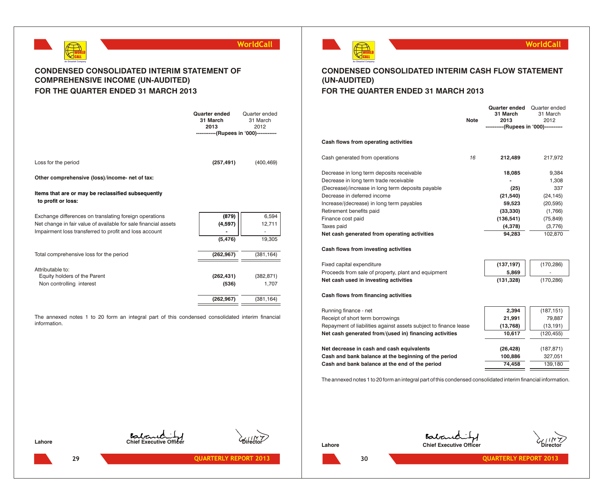



## **CONDENSED CONSOLIDATED INTERIM STATEMENT OF COMPREHENSIVE INCOME (UN-AUDITED) FOR THE QUARTER ENDED 31 MARCH 2013**

|                                                                          | Quarter ended<br>31 March<br>2013<br>-----------(Rupees in '000)----------- | Quarter ended<br>31 March<br>2012 |
|--------------------------------------------------------------------------|-----------------------------------------------------------------------------|-----------------------------------|
| Loss for the period                                                      | (257, 491)                                                                  | (400, 469)                        |
| Other comprehensive (loss)/income- net of tax:                           |                                                                             |                                   |
| Items that are or may be reclassified subsequently<br>to profit or loss: |                                                                             |                                   |
| Exchange differences on translating foreign operations                   | (879)                                                                       | 6,594                             |
| Net change in fair value of available for sale financial assets          | (4,597)                                                                     | 12,711                            |
| Impairment loss transferred to profit and loss account                   |                                                                             |                                   |
|                                                                          | (5, 476)                                                                    | 19,305                            |
| Total comprehensive loss for the period                                  | (262, 967)                                                                  | (381, 164)                        |
| Attributable to:                                                         |                                                                             |                                   |
| Equity holders of the Parent                                             | (262, 431)                                                                  | (382, 871)                        |
| Non controlling interest                                                 | (536)                                                                       | 1,707                             |
|                                                                          | (262, 967)                                                                  | (381, 164)                        |
|                                                                          |                                                                             |                                   |

The annexed notes 1 to 20 form an integral part of this condensed consolidated interim financial information.



## **WorldCall**

## **CONDENSED CONSOLIDATED INTERIM CASH FLOW STATEMENT (UN-AUDITED)**

## **FOR THE QUARTER ENDED 31 MARCH 2013**

|                                                                  | <b>Note</b> | <b>Quarter ended</b><br>31 March<br>2013 | Quarter ended<br>31 March<br>2012 |
|------------------------------------------------------------------|-------------|------------------------------------------|-----------------------------------|
|                                                                  |             | ----------(Rupees in '000)-----------    |                                   |
| Cash flows from operating activities                             |             |                                          |                                   |
| Cash generated from operations                                   | 16          | 212,489                                  | 217,972                           |
| Decrease in long term deposits receivable                        |             | 18,085                                   | 9,384                             |
| Decrease in long term trade receivable                           |             |                                          | 1,308                             |
| (Decrease)/increase in long term deposits payable                |             | (25)                                     | 337                               |
| Decrease in deferred income                                      |             | (21, 540)                                | (24, 145)                         |
| Increase/(decrease) in long term payables                        |             | 59,523                                   | (20, 595)                         |
| Retirement benefits paid                                         |             | (33, 330)                                | (1,766)                           |
| Finance cost paid                                                |             | (136, 541)                               | (75, 849)                         |
| Taxes paid                                                       |             | (4,378)                                  | (3,776)                           |
| Net cash generated from operating activities                     |             | 94,283                                   | 102,870                           |
| Cash flows from investing activities                             |             |                                          |                                   |
| Fixed capital expenditure                                        |             | (137, 197)                               | (170, 286)                        |
| Proceeds from sale of property, plant and equipment              |             | 5,869                                    |                                   |
| Net cash used in investing activities                            |             | (131, 328)                               | (170, 286)                        |
| Cash flows from financing activities                             |             |                                          |                                   |
| Running finance - net                                            |             | 2,394                                    | (187, 151)                        |
| Receipt of short term borrowings                                 |             | 21,991                                   | 79,887                            |
| Repayment of liabilities against assets subject to finance lease |             | (13,768)                                 | (13, 191)                         |
| Net cash generated from/(used in) financing activities           |             | 10,617                                   | (120, 455)                        |
| Net decrease in cash and cash equivalents                        |             | (26, 428)                                | (187, 871)                        |
| Cash and bank balance at the beginning of the period             |             | 100,886                                  | 327,051                           |
| Cash and bank balance at the end of the period                   |             | 74,458                                   | 139,180                           |
|                                                                  |             | .                                        |                                   |

The annexed notes 1 to 20 form an integral part of this condensed consolidated interim financial information.

Babaric Lahore **Chief Executive Officer Director** 

**29 QUARTERLY REPORT 2013 QUARTERLY REPORT 2013**



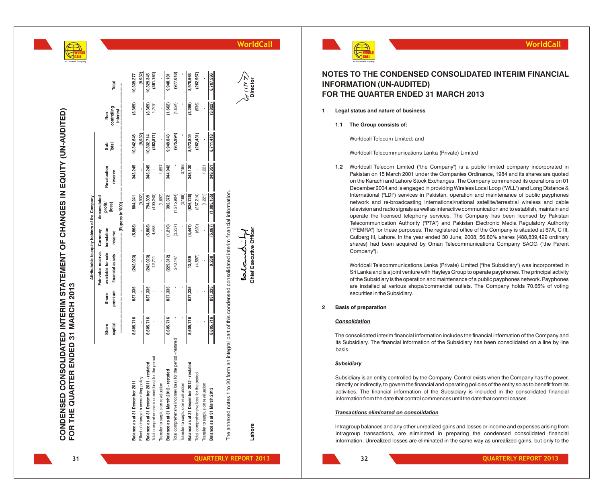| CONDENSED CONSOLIDATED INTERIM STATEMENT OF CHANGES IN EQUITY (UN-AUDITED) |                                     |
|----------------------------------------------------------------------------|-------------------------------------|
|                                                                            |                                     |
|                                                                            |                                     |
|                                                                            |                                     |
|                                                                            |                                     |
|                                                                            |                                     |
|                                                                            |                                     |
|                                                                            |                                     |
|                                                                            |                                     |
|                                                                            |                                     |
|                                                                            | FOR THE QUARTER ENDED 31 MARCH 2013 |
|                                                                            |                                     |

| An Omantel Company |
|--------------------|

|                                                             |           |         | Fair value reserve- | Currency    | Accumulated   |             |            |             |            |
|-------------------------------------------------------------|-----------|---------|---------------------|-------------|---------------|-------------|------------|-------------|------------|
|                                                             | Share     | Share   | available for sale  | translation | profit/       | Revaluation | Sub        | Non         |            |
|                                                             | capital   | premium | financial assets    | reserve     | (loss)        | reserve     | Total      | controlling | Total      |
|                                                             | <br> <br> |         |                     |             |               |             |            | interest    |            |
| Balance as at 31 December 2011                              | 8,605,716 | 837,335 | (242, 023)          | (5,868)     | 804,241       | 343,245     | 10,342,646 | (3,369)     | 10,339,277 |
| Effect of change in accounting policy                       |           |         |                     |             | (9, 932)      |             | (9,932)    |             | (9,932)    |
| Balance as at 31 December 2011 - restated                   | 8,605,716 | 837,335 | 242,023             | (5,868)     | 794,309       | 343,245     | 10,332,714 | (3,369)     | 10,329,345 |
| Total comprehensive income/(loss) for the period            |           |         | 12,711              | 4,658       | (400, 240)    |             | (382, 871) | 1,707       | (381, 164) |
| Transfer to surplus on revaluation                          |           |         |                     |             | (1,697)       | 1,697       |            |             |            |
| Balance as at 31 March 2012 - restated                      | 8,605,716 | 837,335 | (229, 312)          | (1, 210)    | 392,372       | 344,942     | 9,949,843  | (1,662)     | 9,948,181  |
| Total comprehensive income/(loss) for the period - restated |           |         | 243,147             | (3,237)     | (1, 215, 904) |             | (975, 994) | (1,624)     | (977, 618) |
| Transfer to surplus on revaluation                          |           |         |                     |             | (3, 188)      | 3,188       |            |             |            |
| Balance as at 31 December 2012 - restated                   | 8,605,716 | 837,335 | 13,835              | (4,447)     | (826, 720)    | 348,130     | 8,973,849  | (3,286)     | 8,970,563  |
| Total comprehensive loss for the period                     |           |         | (4,597)             | (620)       | (257, 214)    |             | (262, 431) | (536)       | (262, 967) |
| Transfer to surplus on revaluation                          |           |         |                     |             | (1,221)       | 1,221       |            |             |            |
| Balance as at 31 March 2013                                 | 8,605,716 | 837,335 | 9,238               | (5,067)     | (1,085,155)   | 349,351     | 8,711,418  | (3,822)     | 8,707,596  |

The annexed notes 1 to 20 form an integral part of this condensed consolidated interim financial information. nformation inancial interim densed consolidated ā of this part  $\overline{\mathfrak{m}}$ ğ Ξ 듰 form ຊ đ  $\overline{ }$ annexed notes Рe<br>Н

**Chief Executive Officer Director** Chief Executive Office محكمة

**WorldCall**

WORLD CALL **An Omantel Company**

## **NOTES TO THE CONDENSED CONSOLIDATED INTERIM FINANCIAL INFORMATION (UN-AUDITED) FOR THE QUARTER ENDED 31 MARCH 2013**

- **1 Legal status and nature of business**
	- **1.1 The Group consists of:**

Worldcall Telecom Limited; and

Worldcall Telecommunications Lanka (Private) Limited

**1.2** Worldcall Telecom Limited ("the Company") is a public limited company incorporated in Pakistan on 15 March 2001 under the Companies Ordinance, 1984 and its shares are quoted on the Karachi and Lahore Stock Exchanges. The Company commenced its operations on 01 December 2004 and is engaged in providing Wireless Local Loop ("WLL") and Long Distance & International ("LDI") services in Pakistan, operation and maintenance of public payphones network and re-broadcasting international/national satellite/terrestrial wireless and cable television and radio signals as well as interactive communication and to establish, maintain and operate the licensed telephony services. The Company has been licensed by Pakistan Telecommunication Authority ("PTA") and Pakistan Electronic Media Regulatory Authority ("PEMRA") for these purposes. The registered office of the Company is situated at 67A, C III, Gulberg III, Lahore. In the year ended 30 June, 2008, 56.80% shares (488,839,429 ordinary shares) had been acquired by Oman Telecommunications Company SAOG ("the Parent Company").

Worldcall Telecommunications Lanka (Private) Limited ("the Subsidiary") was incorporated in Sri Lanka and is a joint venture with Hayleys Group to operate payphones. The principal activity of the Subsidiary is the operation and maintenance of a public payphones network. Payphones are installed at various shops/commercial outlets. The Company holds 70.65% of voting securities in the Subsidiary.

### **2 Basis of preparation**

### *Consolidation*

The consolidated interim financial information includes the financial information of the Company and its Subsidiary. The financial information of the Subsidiary has been consolidated on a line by line basis.

### *Subsidiary*

Subsidiary is an entity controlled by the Company. Control exists when the Company has the power, directly or indirectly, to govern the financial and operating policies of the entity so as to benefit from its activities. The financial information of the Subsidiary is included in the consolidated financial information from the date that control commences until the date that control ceases.

### *Transactions eliminated on consolidation*

Intragroup balances and any other unrealized gains and losses or income and expenses arising from intragroup transactions, are eliminated in preparing the condensed consolidated financial information. Unrealized losses are eliminated in the same way as unrealized gains, but only to the

**Lahore**

**32**

**WorldCall**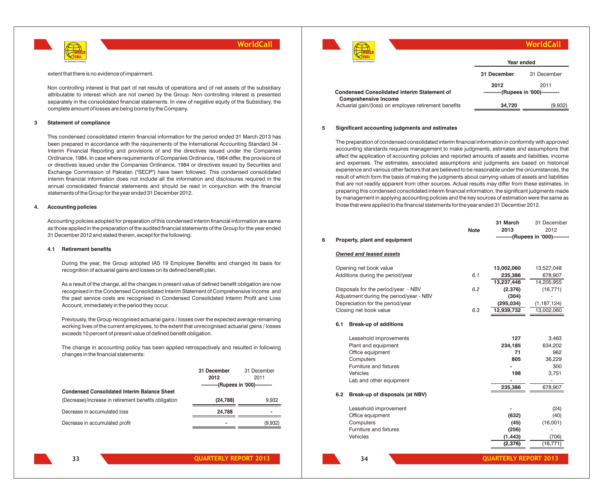

#### extent that there is no evidence of impairment.

Non controlling interest is that part of net results of operations and of net assets of the subsidiary attributable to interest which are not owned by the Group. Non controlling interest is presented separately in the consolidated financial statements. In view of negative equity of the Subsidiary, the complete amount of losses are being borne by the Company.

### **3 Statement of compliance**

This condensed consolidated interim financial information for the period ended 31 March 2013 has been prepared in accordance with the requirements of the International Accounting Standard 34 - Interim Financial Reporting and provisions of and the directives issued under the Companies Ordinance, 1984. In case where requirements of Companies Ordinance, 1984 differ, the provisions of or directives issued under the Companies Ordinance, 1984 or directives issued by Securities and Exchange Commission of Pakistan ("SECP") have been followed. This condensed consolidated interim financial information does not include all the information and disclosures required in the annual consolidated financial statements and should be read in conjunction with the financial statements of the Group for the year ended 31 December 2012.

### **4. Accounting policies**

Accounting policies adopted for preparation of this condensed interim financial information are same as those applied in the preparation of the audited financial statements of the Group for the year ended 31 December 2012 and stated therein, except for the following:

### **4.1 Retirement benefits**

During the year, the Group adopted IAS 19 Employee Benefits and changed its basis for recognition of actuarial gains and losses on its defined benefit plan.

As a result of the change, all the changes in present value of defined benefit obligation are now recognised in the Condensed Consolidated Interim Statement of Comprehensive Income and the past service costs are recognised in Condensed Consolidated Interim Profit and Loss Account, immediately in the period they occur.

Previously, the Group recognised actuarial gains / losses over the expected average remaining working lives of the current employees, to the extent that unrecognised actuarial gains / losses exceeds 10 percent of present value of defined benefit obligation.

The change in accounting policy has been applied retrospectively and resulted in following changes in the financial statements:

|                                                       | 31 December                          | 31 December |
|-------------------------------------------------------|--------------------------------------|-------------|
|                                                       | 2012                                 | 2011        |
|                                                       | ----------(Rupees in '000)---------- |             |
| <b>Condensed Consolidated Interim Balance Sheet</b>   |                                      |             |
| (Decrease)/increase in retirement benefits obligation | (24, 788)                            | 9,932       |
| Decrease in accumulated loss                          | 24,788                               |             |
| Decrease in accumulated profit                        | ۰                                    | (9,932)     |



### **WorldCall**

31 December

| An Omantel Company                                                                   | Year ended                           |             |
|--------------------------------------------------------------------------------------|--------------------------------------|-------------|
|                                                                                      | 31 December                          | 31 December |
|                                                                                      | 2012                                 | 2011        |
| <b>Condensed Consolidated Interim Statement of</b>                                   | ----------(Rupees in '000)---------- |             |
| <b>Comprehensive Income</b><br>Actuarial gain/(loss) on employee retirement benefits | 34.720                               | (9,932)     |

### **5 Significant accounting judgments and estimates**

The preparation of condensed consolidated interim financial information in conformity with approved accounting standards requires management to make judgments, estimates and assumptions that affect the application of accounting policies and reported amounts of assets and liabilities, income and expenses. The estimates, associated assumptions and judgments are based on historical experience and various other factors that are believed to be reasonable under the circumstances, the result of which form the basis of making the judgments about carrying values of assets and liabilities that are not readily apparent from other sources. Actual results may differ from these estimates. In preparing this condensed consolidated interim financial information, the significant judgments made by management in applying accounting policies and the key sources of estimation were the same as those that were applied to the financial statements for the year ended 31 December 2012.

**31 March**

|   |     |                                           |             |                              | <b>OI DECEITIOEL</b>               |
|---|-----|-------------------------------------------|-------------|------------------------------|------------------------------------|
|   |     |                                           | <b>Note</b> | 2013                         | 2012                               |
| 6 |     | Property, plant and equipment             |             |                              | ---------(Rupees in '000)--------- |
|   |     |                                           |             |                              |                                    |
|   |     | <b>Owned and leased assets</b>            |             |                              |                                    |
|   |     |                                           |             |                              |                                    |
|   |     | Opening net book value                    |             | 13,002,060                   | 13,527,048                         |
|   |     | Additions during the period/year          | 6.1         | 235,386                      | 678,907                            |
|   |     |                                           |             | 13,237,446                   | 14,205,955                         |
|   |     | Disposals for the period/year - NBV       | 6.2         | (2,376)                      | (16, 771)                          |
|   |     | Adjustment during the period/year - NBV   |             | (304)                        |                                    |
|   |     | Depreciation for the period/year          |             | (295, 034)                   | (1, 187, 124)                      |
|   |     | Closing net book value                    | 6.3         | 12,939,732                   | 13,002,060                         |
|   |     |                                           |             |                              |                                    |
|   | 6.1 | <b>Break-up of additions</b>              |             |                              |                                    |
|   |     | Leasehold improvements                    |             | 127                          | 3,463                              |
|   |     | Plant and equipment                       |             | 234,185                      | 634,202                            |
|   |     | Office equipment                          |             | 71                           | 962                                |
|   |     | Computers                                 |             | 805                          | 36,229                             |
|   |     | Furniture and fixtures                    |             |                              | 300                                |
|   |     | Vehicles                                  |             | 198                          | 3,751                              |
|   |     | Lab and other equipment                   |             |                              |                                    |
|   |     |                                           |             | 235,386                      | 678,907                            |
|   | 6.2 | Break-up of disposals (at NBV)            |             |                              |                                    |
|   |     |                                           |             |                              |                                    |
|   |     | Leasehold improvement<br>Office equipment |             | (632)                        | (24)<br>(40)                       |
|   |     | Computers                                 |             | (45)                         | (16,001)                           |
|   |     | Furniture and fixtures                    |             | (256)                        |                                    |
|   |     | Vehicles                                  |             | (1, 443)                     | (706)                              |
|   |     |                                           |             | (2,376)                      | (16, 771)                          |
|   |     |                                           |             |                              |                                    |
|   |     | 34                                        |             | <b>OUARTERLY REPORT 2013</b> |                                    |
|   |     |                                           |             |                              |                                    |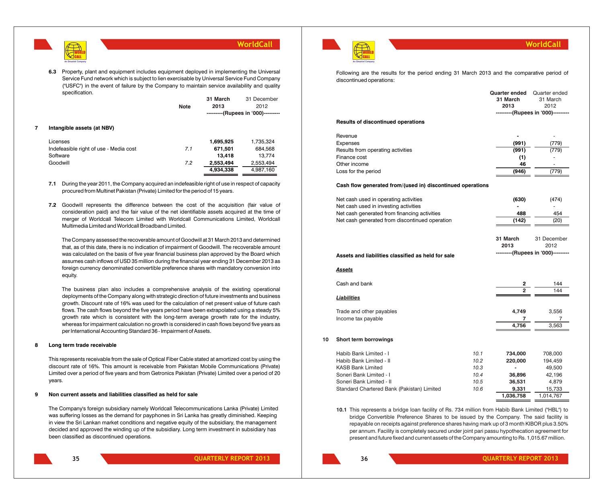

**4,934,338** 4,987,160

**6.3** Property, plant and equipment includes equipment deployed in implementing the Universal Service Fund network which is subject to lien exercisable by Universal Service Fund Company ("USFC") in the event of failure by the Company to maintain service availability and quality specification.

|   |                                        |             | 31 March  | 31 December                        |
|---|----------------------------------------|-------------|-----------|------------------------------------|
|   |                                        | <b>Note</b> | 2013      | 2012                               |
|   |                                        |             |           | ---------(Rupees in '000)--------- |
| 7 | Intangible assets (at NBV)             |             |           |                                    |
|   | Licenses                               |             | 1,695,925 | 1,735,324                          |
|   | Indefeasible right of use - Media cost | 7.1         | 671.501   | 684,568                            |
|   | Software                               |             | 13.418    | 13,774                             |
|   | Goodwill                               | 7.2         | 2,553,494 | 2,553,494                          |

- **7.1** During the year 2011, the Company acquired an indefeasible right of use in respect of capacity procured from Multinet Pakistan (Private) Limited for the period of 15 years.
- **7.2** Goodwill represents the difference between the cost of the acquisition (fair value of consideration paid) and the fair value of the net identifiable assets acquired at the time of merger of Worldcall Telecom Limited with Worldcall Communications Limited, Worldcall Multimedia Limited and Worldcall Broadband Limited.

The Company assessed the recoverable amount of Goodwill at 31 March 2013 and determined that, as of this date, there is no indication of impairment of Goodwill. The recoverable amount was calculated on the basis of five year financial business plan approved by the Board which assumes cash inflows of USD 35 million during the financial year ending 31 December 2013 as foreign currency denominated convertible preference shares with mandatory conversion into equity.

The business plan also includes a comprehensive analysis of the existing operational deployments of the Company along with strategic direction of future investments and business growth. Discount rate of 16% was used for the calculation of net present value of future cash flows. The cash flows beyond the five years period have been extrapolated using a steady 5% growth rate which is consistent with the long-term average growth rate for the industry, whereas for impairment calculation no growth is considered in cash flows beyond five years as per International Accounting Standard 36 - Impairment of Assets.

### **8 Long term trade receivable**

This represents receivable from the sale of Optical Fiber Cable stated at amortized cost by using the discount rate of 16%. This amount is receivable from Pakistan Mobile Communications (Private) Limited over a period of five years and from Getronics Pakistan (Private) Limited over a period of 20 years.

### **9 Non current assets and liabilities classified as held for sale**

The Company's foreign subsidiary namely Worldcall Telecommunications Lanka (Private) Limited was suffering losses as the demand for payphones in Sri Lanka has greatly diminished. Keeping in view the Sri Lankan market conditions and negative equity of the subsidiary, the management decided and approved the winding up of the subsidiary. Long term investment in subsidiary has been classified as discontinued operations.



Following are the results for the period ending 31 March 2013 and the comparative period of discontinued operations:

|                                                                                                            |      | <b>Quarter ended</b> | Quarter ended                      |
|------------------------------------------------------------------------------------------------------------|------|----------------------|------------------------------------|
|                                                                                                            |      | 31 March             | 31 March                           |
|                                                                                                            |      | 2013                 | 2012                               |
|                                                                                                            |      |                      | ---------(Rupees in '000)--------- |
| <b>Results of discontinued operations</b>                                                                  |      |                      |                                    |
| Revenue                                                                                                    |      |                      |                                    |
| Expenses                                                                                                   |      | (991)                | (779)                              |
| Results from operating activities                                                                          |      | (991)                | (779)                              |
| Finance cost                                                                                               |      | (1)                  |                                    |
| Other income                                                                                               |      | 46                   |                                    |
| Loss for the period                                                                                        |      | (946)                | (779)                              |
| Cash flow generated from/(used in) discontinued operations                                                 |      |                      |                                    |
| Net cash used in operating activities                                                                      |      | (630)                | (474)                              |
| Net cash used in investing activities                                                                      |      |                      |                                    |
| Net cash generated from financing activities                                                               |      | 488                  | 454                                |
|                                                                                                            |      | (142)                | (20)                               |
|                                                                                                            |      |                      |                                    |
| Net cash generated from discontinued operation                                                             |      | 31 March             | 31 December                        |
|                                                                                                            |      | 2013                 | 2012                               |
| Assets and liabilities classified as held for sale                                                         |      |                      | ---------(Rupees in '000)--------- |
|                                                                                                            |      |                      |                                    |
|                                                                                                            |      | 2                    | 144                                |
|                                                                                                            |      | $\overline{2}$       | 144                                |
|                                                                                                            |      |                      |                                    |
| Assets<br>Cash and bank<br><b>Liabilities</b><br>Trade and other payables                                  |      | 4,749                | 3,556                              |
|                                                                                                            |      | 7                    | 7                                  |
|                                                                                                            |      | 4,756                | 3,563                              |
|                                                                                                            |      |                      |                                    |
| Habib Bank Limited - I                                                                                     | 10.1 | 734,000              | 708,000                            |
|                                                                                                            | 10.2 | 220,000              | 194,459                            |
|                                                                                                            | 10.3 |                      | 49,500                             |
|                                                                                                            | 10.4 | 36,896               | 42,196                             |
| Habib Bank Limited - II<br><b>KASB Bank Limited</b><br>Soneri Bank Limited - I<br>Soneri Bank Limited - II | 10.5 | 36,531               | 4,879                              |
| Income tax payable<br>Short term borrowings<br>Standard Chartered Bank (Pakistan) Limited                  | 10.6 | 9,331                | 15,733                             |

**10.1** This represents a bridge loan facility of Rs. 734 million from Habib Bank Limited ("HBL") to bridge Convertible Preference Shares to be issued by the Company. The said facility is repayable on receipts against preference shares having mark up of 3 month KIBOR plus 3.50% per annum. Facility is completely secured under joint pari passu hypothecation agreement for present and future fixed and current assets of the Company amounting to Rs. 1,015.67 million.

```
35
```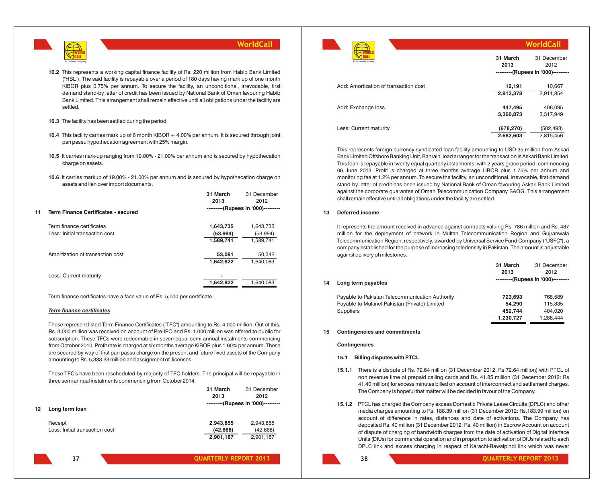

- **10.2** This represents a working capital finance facility of Rs. 220 million from Habib Bank Limited ("HBL"). The said facility is repayable over a period of 180 days having mark up of one month KIBOR plus 0.75% per annum. To secure the facility, an unconditional, irrevocable, first demand stand-by letter of credit has been issued by National Bank of Oman favouring Habib Bank Limited. This arrangement shall remain effective until all obligations under the facility are settled.
- **10.3** The facility has been settled during the period.
- **10.4** This facility carries mark up of 6 month KIBOR + 4.00% per annum. It is secured through joint pari passu hypothecation agreement with 25% margin.
- **10.5** It carries mark-up ranging from 19.00% 21.00% per annum and is secured by hypothecation charge on assets.
- **10.6** It carries markup of 19.00% 21.00% per annum and is secured by hypothecation charge on assets and lien over import documents.

|                                                             | 31 March<br>2013      | 31 December<br>2012                |
|-------------------------------------------------------------|-----------------------|------------------------------------|
| <b>Term Finance Certificates - secured</b><br>11            |                       | ---------(Rupees in '000)--------- |
| Term finance certificates<br>Less: Initial transaction cost | 1,643,735<br>(53,994) | 1,643,735<br>(53,994)              |
|                                                             | 1,589,741             | 1,589,741                          |
| Amortization of transaction cost                            | 53,081<br>1,642,822   | 50,342<br>1,640,083                |
| Less: Current maturity                                      | 1,642,822             | 1,640,083                          |

Term finance certificates have a face value of Rs. 5,000 per certificate.

### *Term finance certificates*

These represent listed Term Finance Certificates ("TFC") amounting to Rs. 4,000 million. Out of this, Rs. 3,000 million was received on account of Pre-IPO and Rs. 1,000 million was offered to public for subscription. These TFCs were redeemable in seven equal semi annual instalments commencing from October 2010. Profit rate is charged at six months average KIBOR plus 1.60% per annum. These are secured by way of first pari passu charge on the present and future fixed assets of the Company amounting to Rs. 5,333.33 million and assignment of licenses.

These TFC's have been rescheduled by majority of TFC holders. The principal will be repayable in three semi annual instalments commencing from October 2014.

|    |                                | 31 March                     | 31 December                        |
|----|--------------------------------|------------------------------|------------------------------------|
|    |                                | 2013                         | 2012                               |
|    |                                |                              | ---------(Rupees in '000)--------- |
| 12 | Long term loan                 |                              |                                    |
|    | Receipt                        | 2,943,855                    | 2,943,855                          |
|    | Less: Initial transaction cost | (42, 668)                    | (42, 668)                          |
|    |                                | 2,901,187                    | 2,901,187                          |
|    |                                |                              |                                    |
|    | 37                             | <b>OUARTERLY REPORT 2013</b> |                                    |

| N                                     |                         | WorldCall                                                 |
|---------------------------------------|-------------------------|-----------------------------------------------------------|
| An Omantel Company                    | 31 March<br>2013        | 31 December<br>2012<br>---------(Rupees in '000)--------- |
| Add: Amortization of transaction cost | 12,191<br>2,913,378     | 10,667<br>2,911,854                                       |
| Add: Exchange loss                    | 447,495<br>3,360,873    | 406,095<br>3,317,949                                      |
| Less: Current maturity                | (678, 270)<br>2,682,603 | (502, 493)<br>2,815,456                                   |

This represents foreign currency syndicated loan facility amounting to USD 35 million from Askari Bank Limited Offshore Banking Unit, Bahrain, lead arranger for the transaction is Askari Bank Limited. This loan is repayable in twenty equal quarterly instalments, with 2 years grace period, commencing 06 June 2013. Profit is charged at three months average LIBOR plus 1.75% per annum and monitoring fee at 1.2% per annum. To secure the facility, an unconditional, irrevocable, first demand stand-by letter of credit has been issued by National Bank of Oman favouring Askari Bank Limited against the corporate guarantee of Oman Telecommunication Company SAOG. This arrangement shall remain effective until all obligations under the facility are settled.

### **13 Deferred income**

It represents the amount received in advance against contracts valuing Rs. 786 million and Rs. 487 million for the deployment of network in Multan Telecommunication Region and Gujranwala Telecommunication Region, respectively, awarded by Universal Service Fund Company ("USFC"), a company established for the purpose of increasing teledensity in Pakistan. The amount is adjustable against delivery of milestones.

|                                                 | 2013      | 2012                               |
|-------------------------------------------------|-----------|------------------------------------|
| Long term payables<br>14                        |           | ---------(Rupees in '000)--------- |
| Payable to Pakistan Telecommunication Authority | 723.693   | 768.589                            |
| Payable to Multinet Pakistan (Private) Limited  | 54.290    | 115,835                            |
| <b>Suppliers</b>                                | 452.744   | 404.020                            |
|                                                 | 1.230.727 | 1.288.444                          |

### **15 Contingencies and commitments**

**Contingencies**

### **15.1 Billing disputes with PTCL**

- **15.1.1** There is a dispute of Rs. 72.64 million (31 December 2012: Rs 72.64 million) with PTCL of non revenue time of prepaid calling cards and Rs. 41.85 million (31 December 2012: Rs 41.40 million) for excess minutes billed on account of interconnect and settlement charges. The Company is hopeful that matter will be decided in favour of the Company.
- **15.1.2** PTCL has charged the Company excess Domestic Private Lease Circuits (DPLC) and other media charges amounting to Rs. 188.39 million (31 December 2012: Rs.183.99 million) on account of difference in rates, distances and date of activations. The Company has deposited Rs. 40 million (31 December 2012: Rs. 40 million) in Escrow Account on account of dispute of charging of bandwidth charges from the date of activation of Digital Interface Units (DIUs) for commercial operation and in proportion to activation of DIUs related to each DPLC link and excess charging in respect of Karachi-Rawalpindi link which was never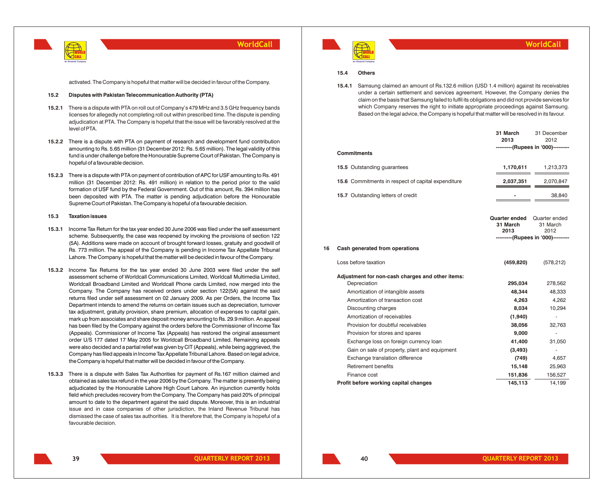

activated. The Company is hopeful that matter will be decided in favour of the Company.

### **15.2 Disputes with Pakistan Telecommunication Authority (PTA)**

- **15.2.1** There is a dispute with PTA on roll out of Company's 479 MHz and 3.5 GHz frequency bands licenses for allegedly not completing roll out within prescribed time. The dispute is pending adjudication at PTA. The Company is hopeful that the issue will be favorably resolved at the level of PTA.
- **15.2.2** There is a dispute with PTA on payment of research and development fund contribution amounting to Rs. 5.65 million (31 December 2012: Rs. 5.65 million). The legal validity of this fund is under challenge before the Honourable Supreme Court of Pakistan. The Company is hopeful of a favourable decision.
- **15.2.3** There is a dispute with PTA on payment of contribution of APC for USF amounting to Rs. 491 million (31 December 2012: Rs. 491 million) in relation to the period prior to the valid formation of USF fund by the Federal Government. Out of this amount, Rs. 394 million has been deposited with PTA. The matter is pending adjudication before the Honourable Supreme Court of Pakistan. The Company is hopeful of a favourable decision.

### **15.3 Taxation issues**

- **15.3.1** Income Tax Return for the tax year ended 30 June 2006 was filed under the self assessment scheme. Subsequently, the case was reopened by invoking the provisions of section 122 (5A). Additions were made on account of brought forward losses, gratuity and goodwill of Rs. 773 million. The appeal of the Company is pending in Income Tax Appellate Tribunal Lahore. The Company is hopeful that the matter will be decided in favour of the Company.
- **15.3.2** Income Tax Returns for the tax year ended 30 June 2003 were filed under the self assessment scheme of Worldcall Communications Limited, Worldcall Multimedia Limited, Worldcall Broadband Limited and Worldcall Phone cards Limited, now merged into the Company. The Company has received orders under section 122(5A) against the said returns filed under self assessment on 02 January 2009. As per Orders, the Income Tax Department intends to amend the returns on certain issues such as depreciation, turnover tax adjustment, gratuity provision, share premium, allocation of expenses to capital gain, mark up from associates and share deposit money amounting to Rs. 29.9 million. An appeal has been filed by the Company against the orders before the Commissioner of Income Tax (Appeals). Commissioner of Income Tax (Appeals) has restored the original assessment order U/S 177 dated 17 May 2005 for Worldcall Broadband Limited. Remaining appeals were also decided and a partial relief was given by CIT (Appeals), while being aggrieved, the Company has filed appeals in Income Tax Appellate Tribunal Lahore. Based on legal advice, the Company is hopeful that matter will be decided in favour of the Company.
- **15.3.3** There is a dispute with Sales Tax Authorities for payment of Rs.167 million claimed and issue and in case companies of other jurisdiction, the Inland Revenue Tribunal has dismissed the case of sales tax authorities. It is therefore that, the Company is hopeful of a favourable decision. obtained as sales tax refund in the year 2006 by the Company. The matter is presently being adjudicated by the Honourable Lahore High Court Lahore. An injunction currently holds field which precludes recovery from the Company. The Company has paid 20% of principal amount to date to the department against the said dispute. Moreover, this is an industrial



#### **15.4 Others**

**15.4.1** Samsung claimed an amount of Rs.132.6 million (USD 1.4 million) against its receivables under a certain settlement and services agreement. However, the Company denies the claim on the basis that Samsung failed to fulfil its obligations and did not provide services for which Company reserves the right to initiate appropriate proceedings against Samsung. Based on the legal advice, the Company is hopeful that matter will be resolved in its favour.

|    | <b>Commitments</b>                                 | 31 March<br>2013                  |       | 31 December<br>2012<br>---------(Rupees in '000)---------               |
|----|----------------------------------------------------|-----------------------------------|-------|-------------------------------------------------------------------------|
|    | 15.5 Outstanding quarantees                        | 1,170,611                         |       | 1,213,373                                                               |
|    | 15.6 Commitments in respect of capital expenditure | 2,037,351                         |       | 2,070,847                                                               |
|    | 15.7 Outstanding letters of credit                 |                                   |       | 38,840                                                                  |
|    |                                                    | Quarter ended<br>31 March<br>2013 |       | Quarter ended<br>31 March<br>2012<br>---------(Rupees in '000)--------- |
| 16 | Cash generated from operations                     |                                   |       |                                                                         |
|    | Loss before taxation                               | (459, 820)                        |       | (578, 212)                                                              |
|    | Adjustment for non-cash charges and other items:   |                                   |       |                                                                         |
|    | Depreciation                                       | 295,034                           |       | 278,562                                                                 |
|    | Amortization of intangible assets                  | 48,344                            |       | 48,333                                                                  |
|    | Amortization of transaction cost                   |                                   | 4,263 | 4,262                                                                   |
|    | Discounting charges                                | 8,034                             |       | 10,294                                                                  |
|    | Amortization of receivables                        | (1,940)                           |       | ä,                                                                      |
|    | Provision for doubtful receivables                 | 38,056                            |       | 32,763                                                                  |
|    | Provision for stores and spares                    | 9,000                             |       | ÷,                                                                      |
|    | Exchange loss on foreign currency loan             | 41,400                            |       | 31,050                                                                  |
|    | Gain on sale of property, plant and equipment      | (3, 493)                          |       |                                                                         |
|    | Exchange translation difference                    |                                   | (749) | 4,657                                                                   |
|    | Retirement benefits                                | 15,148                            |       | 25,963                                                                  |
|    | Finance cost                                       | 151,836                           |       | 156,527                                                                 |

**Profit before working capital changes 145,113** 14,199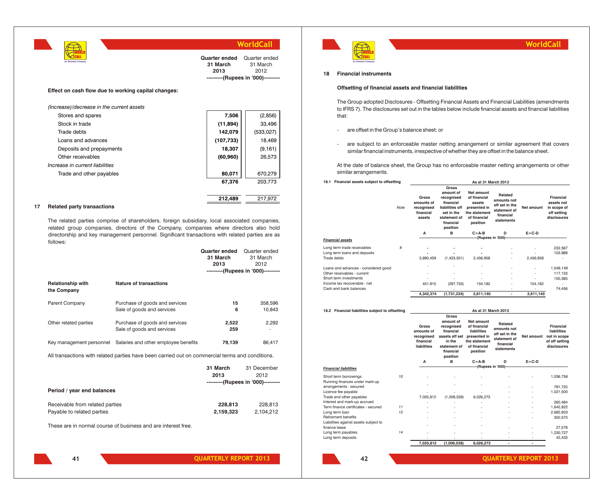

**212,489** 217,972

**Quarter ended** Quarter ended **31 March 2013** 31 March 2012 **---------(Rupees in '000)---------**

**Effect on cash flow due to working capital changes:**

*(Increase)/decrease in the current assets*

| Stores and spares               | 7,506      | (2,856)   |
|---------------------------------|------------|-----------|
| Stock in trade                  | (11, 894)  | 33,496    |
| Trade debts                     | 142,079    | (533,027) |
| Loans and advances              | (107, 733) | 18,469    |
| Deposits and prepayments        | 18,307     | (9, 161)  |
| Other receivables               | (60, 960)  | 26,573    |
| Increase in current liabilities |            |           |
| Trade and other payables        | 80,071     | 670,279   |
|                                 | 67,376     | 203.773   |
|                                 |            |           |

### **17 Related party transactions**

The related parties comprise of shareholders, foreign subsidiary, local associated companies, related group companies, directors of the Company, companies where directors also hold directorship and key management personnel. Significant transactions with related parties are as follows:

|                                         |                                                              | Quarter ended<br>31 March<br>2013 | Quarter ended<br>31 March<br>2012<br>---------(Rupees in '000)--------- |
|-----------------------------------------|--------------------------------------------------------------|-----------------------------------|-------------------------------------------------------------------------|
| <b>Relationship with</b><br>the Company | <b>Nature of transactions</b>                                |                                   |                                                                         |
| <b>Parent Company</b>                   | Purchase of goods and services<br>Sale of goods and services | 15<br>6                           | 358,596<br>10,843                                                       |
| Other related parties                   | Purchase of goods and services<br>Sale of goods and services | 2,522<br>259                      | 2.292                                                                   |
| Key management personnel                | Salaries and other employee benefits                         | 79.139                            | 86.417                                                                  |

All transactions with related parties have been carried out on commercial terms and conditions.

|                                 | 31 March  | 31 December                        |
|---------------------------------|-----------|------------------------------------|
|                                 | 2013      | 2012                               |
|                                 |           | ---------(Rupees in '000)--------- |
| Period / year end balances      |           |                                    |
| Receivable from related parties | 228,813   | 228.813                            |
| Payable to related parties      | 2.159.323 | 2.104.212                          |

These are in normal course of business and are interest free.



**WorldCall**

#### **18 Financial instruments**

### **Offsetting of financial assets and financial liabilities**

The Group adopted Disclosures - Offsetting Financial Assets and Financial Liabilities (amendments to IFRS 7). The disclosures set out in the tables below include financial assets and financial liabilities that:

- are offset in the Group's balance sheet; or
- are subject to an enforceable master netting arrangement or similar agreement that covers similar financial instruments, irrespective of whether they are offset in the balance sheet.

At the date of balance sheet, the Group has no enforceable master netting arrangements or other similar arrangements.

| Financial assets subject to offsetting<br>18.1 |             | As at 31 March 2013                                      |                                                                                                                         |                                                                                                   |                                                                                     |             |                                                                      |
|------------------------------------------------|-------------|----------------------------------------------------------|-------------------------------------------------------------------------------------------------------------------------|---------------------------------------------------------------------------------------------------|-------------------------------------------------------------------------------------|-------------|----------------------------------------------------------------------|
|                                                | <b>Note</b> | Gross<br>amounts of<br>recognised<br>financial<br>assets | Gross<br>amount of<br>recognised<br>financial<br>liabilities off<br>set in the<br>statement of<br>financial<br>position | Net amount<br>of financial<br>assets<br>presented in<br>the statement<br>of financial<br>position | Related<br>amounts not<br>off set in the<br>statement of<br>financial<br>statements | Net amount  | Financial<br>assets not<br>in scope of<br>off setting<br>disclosures |
|                                                |             | A                                                        | R                                                                                                                       | $C = A - B$                                                                                       | D                                                                                   | $E = C - D$ |                                                                      |
| <b>Financial assets</b>                        |             |                                                          |                                                                                                                         |                                                                                                   | ---(Rupees in '000)------------------------------                                   |             |                                                                      |
| Long term trade receivables                    | 8           |                                                          |                                                                                                                         |                                                                                                   |                                                                                     |             | 232,567                                                              |
| Long term loans and deposits                   |             |                                                          |                                                                                                                         |                                                                                                   |                                                                                     |             | 103,989                                                              |
| Trade debts                                    |             | 3.890.459                                                | (1,433,501)                                                                                                             | 2,456,958                                                                                         |                                                                                     | 2,456,958   |                                                                      |
| Loans and advances - considered good           |             |                                                          |                                                                                                                         |                                                                                                   |                                                                                     |             | 1,549,149                                                            |
| Other receivables - current                    |             |                                                          |                                                                                                                         |                                                                                                   |                                                                                     |             | 117,133                                                              |
| Short term investments                         |             |                                                          |                                                                                                                         |                                                                                                   |                                                                                     |             | 100,385                                                              |
| Income tax recoverable - net                   |             | 451,915                                                  | (297, 733)                                                                                                              | 154,182                                                                                           | ۰                                                                                   | 154,182     |                                                                      |
| Cash and bank balances                         |             |                                                          |                                                                                                                         |                                                                                                   |                                                                                     |             | 74,456                                                               |
|                                                |             | 4,342,374                                                | (1,731,234)                                                                                                             | 2,611,140                                                                                         |                                                                                     | 2,611,140   |                                                                      |

| 18.2 Financial liabilities subject to offsetting         |    |                                                               |                                                                                                                    | As at 31 March 2013                                                                                           |                                                                                     |             |                                                                                  |
|----------------------------------------------------------|----|---------------------------------------------------------------|--------------------------------------------------------------------------------------------------------------------|---------------------------------------------------------------------------------------------------------------|-------------------------------------------------------------------------------------|-------------|----------------------------------------------------------------------------------|
|                                                          |    | Gross<br>amounts of<br>recognised<br>financial<br>liabilities | Gross<br>amount of<br>recognised<br>financial<br>assets off set<br>in the<br>statement of<br>financial<br>position | Net amount<br>of financial<br><b>liabilities</b><br>presented in<br>the statement<br>of financial<br>position | Related<br>amounts not<br>off set in the<br>statement of<br>financial<br>statements | Net amount  | Financial<br><b>liabilities</b><br>not in scope<br>of off setting<br>disclosures |
|                                                          |    | A                                                             | B                                                                                                                  | $C = A - B$                                                                                                   | n                                                                                   | $E = C - D$ |                                                                                  |
| Financial liabilities                                    |    |                                                               |                                                                                                                    |                                                                                                               |                                                                                     |             |                                                                                  |
| Short term borrowings                                    | 10 |                                                               |                                                                                                                    |                                                                                                               |                                                                                     |             | 1,036,758                                                                        |
| Running finances under mark-up<br>arrangements - secured |    |                                                               |                                                                                                                    |                                                                                                               |                                                                                     |             | 791,725                                                                          |
| Licence fee payable                                      |    |                                                               |                                                                                                                    |                                                                                                               |                                                                                     |             | 1.021.500                                                                        |
| Trade and other payables                                 |    | 7.035.812                                                     | (1,009,539)                                                                                                        | 6.026.273                                                                                                     |                                                                                     |             |                                                                                  |
| Interest and mark-up accrued                             |    |                                                               |                                                                                                                    |                                                                                                               |                                                                                     |             | 260.484                                                                          |
| Term finance certificates - secured                      | 11 |                                                               |                                                                                                                    |                                                                                                               |                                                                                     |             | 1.642.822                                                                        |
| Long term loan                                           | 12 |                                                               |                                                                                                                    |                                                                                                               |                                                                                     |             | 2,682,603                                                                        |
| Retirement benefits                                      |    |                                                               |                                                                                                                    |                                                                                                               |                                                                                     |             | 350,573                                                                          |
| Liabilities against assets subject to                    |    |                                                               |                                                                                                                    |                                                                                                               |                                                                                     |             |                                                                                  |
| finance lease                                            |    |                                                               |                                                                                                                    |                                                                                                               |                                                                                     |             | 27,578                                                                           |
| Long term payables                                       | 14 |                                                               |                                                                                                                    |                                                                                                               |                                                                                     |             | 1,230,727                                                                        |
| Long term deposits                                       |    |                                                               |                                                                                                                    |                                                                                                               |                                                                                     |             | 42.433                                                                           |
|                                                          |    | 7.035.812                                                     | (1.009.539)                                                                                                        | 6.026.273                                                                                                     |                                                                                     |             |                                                                                  |

**42**

**QUARTERLY REPORT 2013 QUARTERLY REPORT 2013**